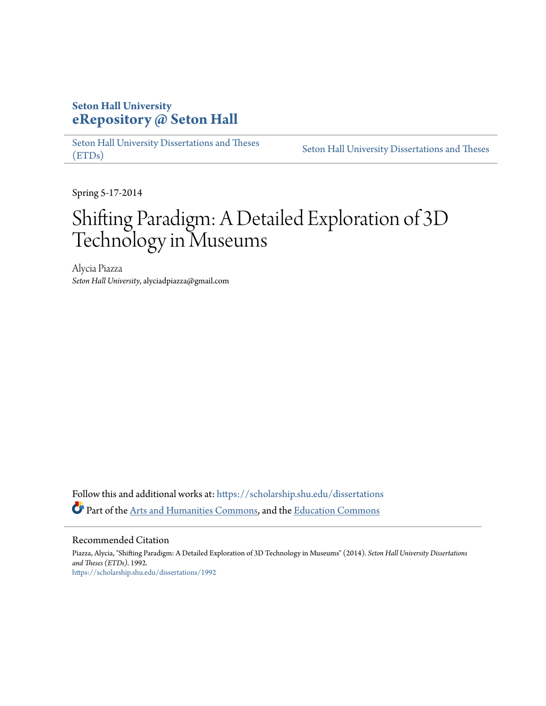# **Seton Hall University [eRepository @ Seton Hall](https://scholarship.shu.edu?utm_source=scholarship.shu.edu%2Fdissertations%2F1992&utm_medium=PDF&utm_campaign=PDFCoverPages)**

[Seton Hall University Dissertations and Theses](https://scholarship.shu.edu/dissertations?utm_source=scholarship.shu.edu%2Fdissertations%2F1992&utm_medium=PDF&utm_campaign=PDFCoverPages) [\(ETDs\)](https://scholarship.shu.edu/dissertations?utm_source=scholarship.shu.edu%2Fdissertations%2F1992&utm_medium=PDF&utm_campaign=PDFCoverPages)

[Seton Hall University Dissertations and Theses](https://scholarship.shu.edu/etds?utm_source=scholarship.shu.edu%2Fdissertations%2F1992&utm_medium=PDF&utm_campaign=PDFCoverPages)

Spring 5-17-2014

# Shifting Paradigm: A Detailed Exploration of 3D Technology in Museums

Alycia Piazza *Seton Hall University*, alyciadpiazza@gmail.com

Follow this and additional works at: [https://scholarship.shu.edu/dissertations](https://scholarship.shu.edu/dissertations?utm_source=scholarship.shu.edu%2Fdissertations%2F1992&utm_medium=PDF&utm_campaign=PDFCoverPages) Part of the [Arts and Humanities Commons](http://network.bepress.com/hgg/discipline/438?utm_source=scholarship.shu.edu%2Fdissertations%2F1992&utm_medium=PDF&utm_campaign=PDFCoverPages), and the [Education Commons](http://network.bepress.com/hgg/discipline/784?utm_source=scholarship.shu.edu%2Fdissertations%2F1992&utm_medium=PDF&utm_campaign=PDFCoverPages)

#### Recommended Citation

Piazza, Alycia, "Shifting Paradigm: A Detailed Exploration of 3D Technology in Museums" (2014). *Seton Hall University Dissertations and Theses (ETDs)*. 1992. [https://scholarship.shu.edu/dissertations/1992](https://scholarship.shu.edu/dissertations/1992?utm_source=scholarship.shu.edu%2Fdissertations%2F1992&utm_medium=PDF&utm_campaign=PDFCoverPages)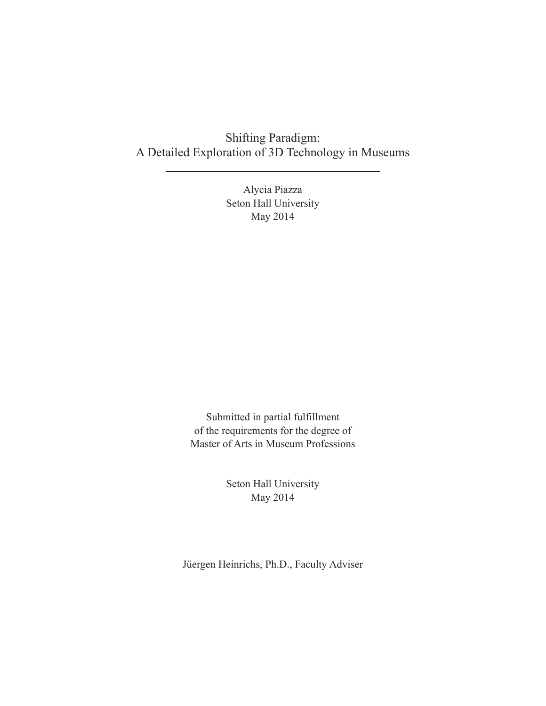## Shifting Paradigm: A Detailed Exploration of 3D Technology in Museums

Alycia Piazza Seton Hall University May 2014

Submitted in partial fulfillment of the requirements for the degree of Master of Arts in Museum Professions

> Seton Hall University May 2014

Jüergen Heinrichs, Ph.D., Faculty Adviser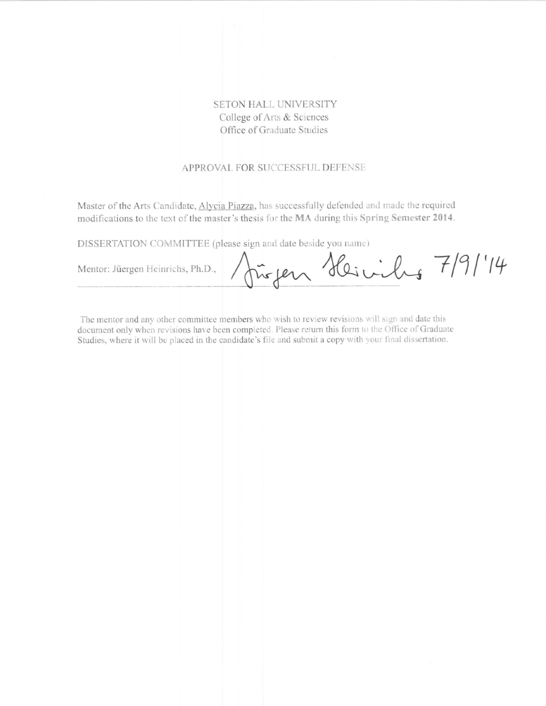## SETON HALL UNIVERSITY College of Arts & Sciences Office of Graduate Studies

#### APPROVAL FOR SUCCESSFUL DEFENSE

Master of the Arts Candidate, Alycia Piazza, has successfully defended and made the required modifications to the text of the master's thesis for the MA during this Spring Semester 2014.

DISSERTATION COMMITTEE (please sign and date beside you name)

Mentor: Jüergen Heinrichs, Ph.D.,

fügen Heinibus 7/9/14

The mentor and any other committee members who wish to review revisions will sign and date this document only when revisions have been completed. Please return this form to the Office of Graduate Studies, where it will be placed in the candidate's file and submit a copy with your final dissertation.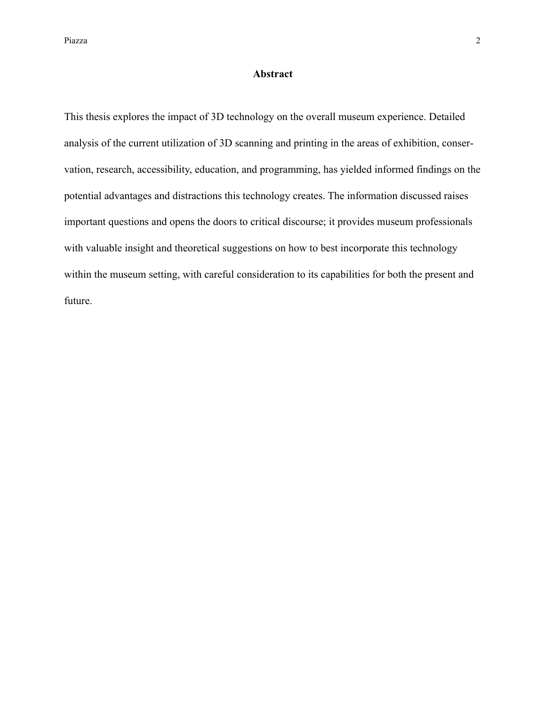#### **Abstract**

This thesis explores the impact of 3D technology on the overall museum experience. Detailed analysis of the current utilization of 3D scanning and printing in the areas of exhibition, conservation, research, accessibility, education, and programming, has yielded informed findings on the potential advantages and distractions this technology creates. The information discussed raises important questions and opens the doors to critical discourse; it provides museum professionals with valuable insight and theoretical suggestions on how to best incorporate this technology within the museum setting, with careful consideration to its capabilities for both the present and future.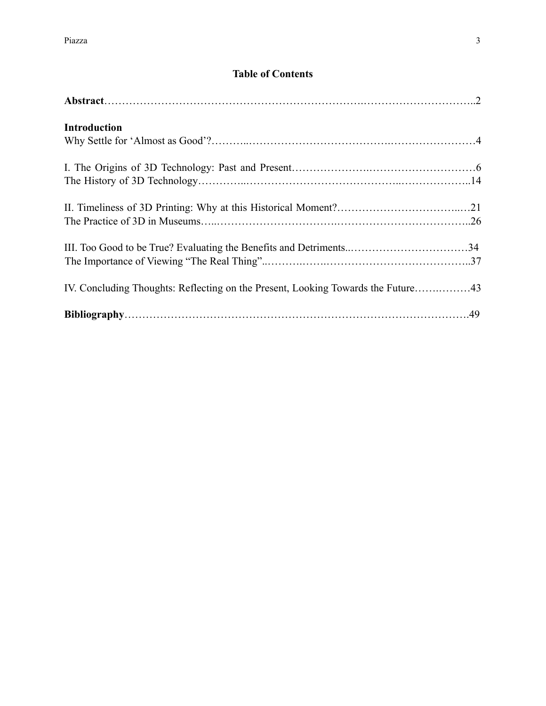## **Table of Contents**

| <b>Introduction</b>                                                              |  |
|----------------------------------------------------------------------------------|--|
|                                                                                  |  |
|                                                                                  |  |
|                                                                                  |  |
| IV. Concluding Thoughts: Reflecting on the Present, Looking Towards the Future43 |  |
|                                                                                  |  |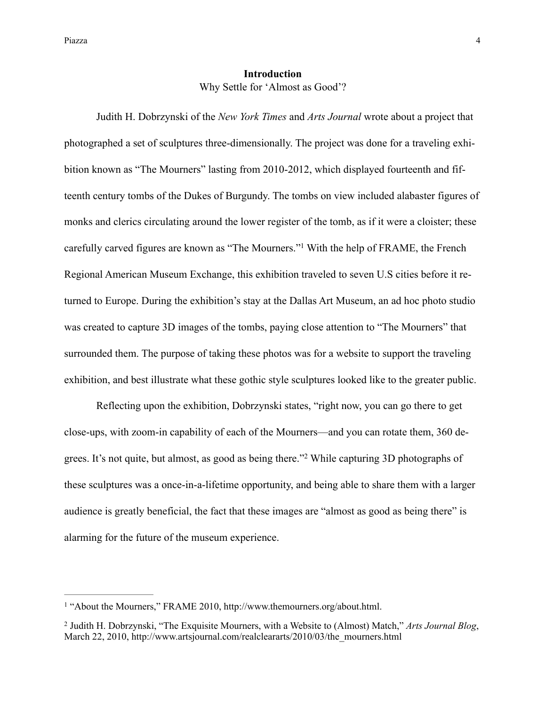#### **Introduction**  Why Settle for 'Almost as Good'?

 Judith H. Dobrzynski of the *New York Times* and *Arts Journal* wrote about a project that photographed a set of sculptures three-dimensionally. The project was done for a traveling exhibition known as "The Mourners" lasting from 2010-2012, which displayed fourteenth and fifteenth century tombs of the Dukes of Burgundy. The tombs on view included alabaster figures of monks and clerics circulating around the lower register of the tomb, as if it were a cloister; these carefully carved figures are known as "The Mourners."<sup>1</sup> With the help of FRAME, the French Regional American Museum Exchange, this exhibition traveled to seven U.S cities before it returned to Europe. During the exhibition's stay at the Dallas Art Museum, an ad hoc photo studio was created to capture 3D images of the tombs, paying close attention to "The Mourners" that surrounded them. The purpose of taking these photos was for a website to support the traveling exhibition, and best illustrate what these gothic style sculptures looked like to the greater public.

 Reflecting upon the exhibition, Dobrzynski states, "right now, you can go there to get close-ups, with zoom-in capability of each of the Mourners—and you can rotate them, 360 degrees. It's not quite, but almost, as good as being there."<sup>2</sup> While capturing 3D photographs of these sculptures was a once-in-a-lifetime opportunity, and being able to share them with a larger audience is greatly beneficial, the fact that these images are "almost as good as being there" is alarming for the future of the museum experience.

<sup>&</sup>lt;sup>1</sup> "About the Mourners," FRAME 2010, [http://www.themourners.org/about.html.](http://www.themourners.org/about.html)

<sup>&</sup>lt;sup>2</sup> Judith H. Dobrzynski, "The Exquisite Mourners, with a Website to (Almost) Match," *Arts Journal Blog*, March 22, 2010, [http://www.artsjournal.com/realcleararts/2010/03/the\\_mourners.html](http://www.artsjournal.com/realcleararts/2010/03/the_mourners.html)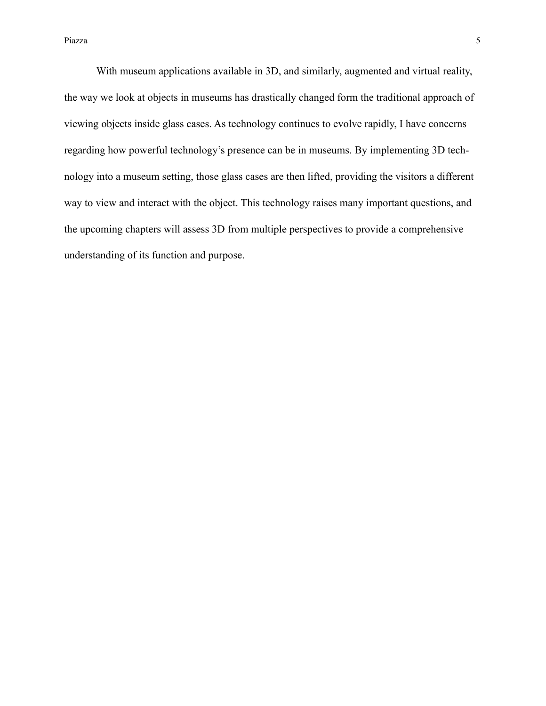With museum applications available in 3D, and similarly, augmented and virtual reality, the way we look at objects in museums has drastically changed form the traditional approach of viewing objects inside glass cases. As technology continues to evolve rapidly, I have concerns regarding how powerful technology's presence can be in museums. By implementing 3D technology into a museum setting, those glass cases are then lifted, providing the visitors a different way to view and interact with the object. This technology raises many important questions, and the upcoming chapters will assess 3D from multiple perspectives to provide a comprehensive understanding of its function and purpose.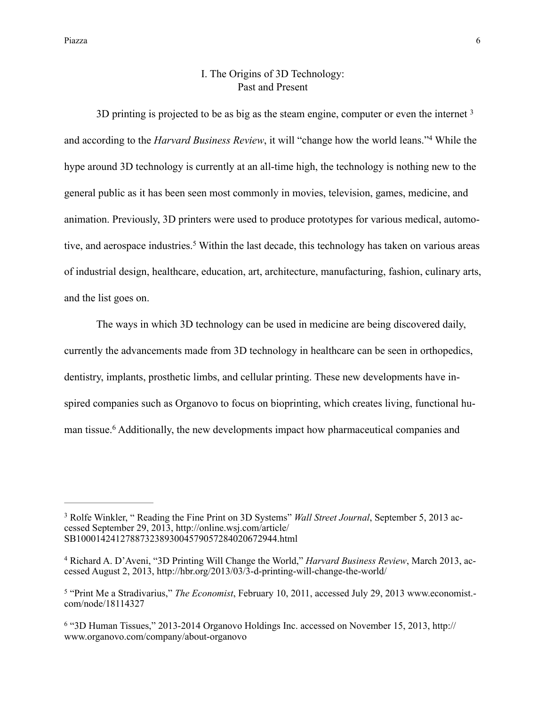### I. The Origins of 3D Technology: Past and Present

3D printing is projected to be as big as the steam engine, computer or even the internet <sup>3</sup> and according to the *Harvard Business Review*, it will "change how the world leans."<sup>4</sup> While the hype around 3D technology is currently at an all-time high, the technology is nothing new to the general public as it has been seen most commonly in movies, television, games, medicine, and animation. Previously, 3D printers were used to produce prototypes for various medical, automotive, and aerospace industries.<sup>5</sup> Within the last decade, this technology has taken on various areas of industrial design, healthcare, education, art, architecture, manufacturing, fashion, culinary arts, and the list goes on.

 The ways in which 3D technology can be used in medicine are being discovered daily, currently the advancements made from 3D technology in healthcare can be seen in orthopedics, dentistry, implants, prosthetic limbs, and cellular printing. These new developments have inspired companies such as Organovo to focus on bioprinting, which creates living, functional human tissue.<sup>6</sup> Additionally, the new developments impact how pharmaceutical companies and

<sup>&</sup>lt;sup>3</sup> Rolfe Winkler, " Reading the Fine Print on 3D Systems" *Wall Street Journal*, September 5, 2013 accessed September 29, 2013, http://online.wsj.com/article/ [SB10001424127887323893004579057284020672944.html](http://online.wsj.com/article/SB10001424127887323893004579057284020672944.html)

<sup>&</sup>lt;sup>4</sup> Richard A. D'Aveni, "3D Printing Will Change the World," *Harvard Business Review*, March 2013, accessed August 2, 2013, <http://hbr.org/2013/03/3-d-printing-will-change-the-world/>

<sup>&</sup>lt;sup>5</sup> "Print Me a Stradivarius," *The Economist*[, February 10, 2011, accessed July 29, 2013 www.economist.](http://www.economist.com/node/18114327)com/node/18114327

<sup>&</sup>lt;sup>6</sup> ["3D Human Tissues," 2013-2014 Organovo Holdings Inc. accessed on November 15, 2013, http://](http://www.organovo.com/company/about-organovo) www.organovo.com/company/about-organovo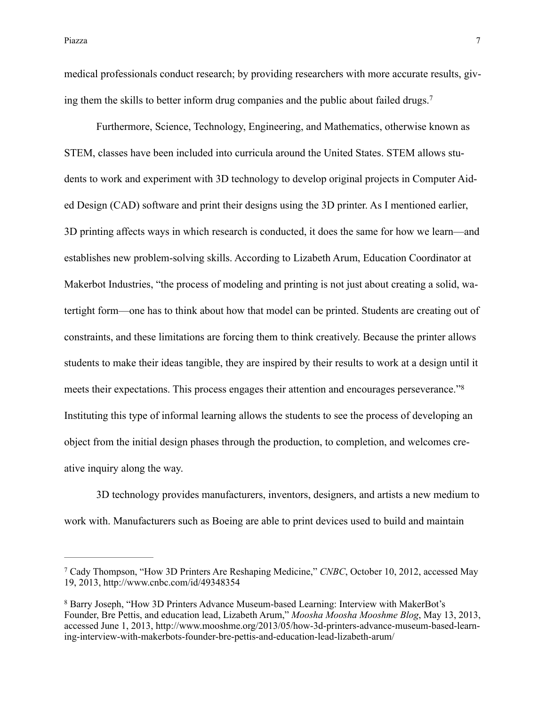medical professionals conduct research; by providing researchers with more accurate results, giving them the skills to better inform drug companies and the public about failed drugs.<sup>7</sup>

 Furthermore, Science, Technology, Engineering, and Mathematics, otherwise known as STEM, classes have been included into curricula around the United States. STEM allows students to work and experiment with 3D technology to develop original projects in Computer Aided Design (CAD) software and print their designs using the 3D printer. As I mentioned earlier, 3D printing affects ways in which research is conducted, it does the same for how we learn—and establishes new problem-solving skills. According to Lizabeth Arum, Education Coordinator at Makerbot Industries, "the process of modeling and printing is not just about creating a solid, watertight form—one has to think about how that model can be printed. Students are creating out of constraints, and these limitations are forcing them to think creatively. Because the printer allows students to make their ideas tangible, they are inspired by their results to work at a design until it meets their expectations. This process engages their attention and encourages perseverance."<sup>8</sup> Instituting this type of informal learning allows the students to see the process of developing an object from the initial design phases through the production, to completion, and welcomes creative inquiry along the way.

 3D technology provides manufacturers, inventors, designers, and artists a new medium to work with. Manufacturers such as Boeing are able to print devices used to build and maintain

Cady Thompson, "How 3D Printers Are Reshaping Medicine," *CNBC*, October 10, 2012, accessed May 7 19, 2013, <http://www.cnbc.com/id/49348354>

<sup>&</sup>lt;sup>8</sup> Barry Joseph, "How 3D Printers Advance Museum-based Learning: Interview with MakerBot's Founder, Bre Pettis, and education lead, Lizabeth Arum," *Moosha Moosha Mooshme Blog*, May 13, 2013, [accessed June 1, 2013, http://www.mooshme.org/2013/05/how-3d-printers-advance-museum-based-learn](http://www.mooshme.org/2013/05/how-3d-printers-advance-museum-based-learning-interview-with-makerbots-founder-bre-pettis-and-education-lead-lizabeth-arum/)ing-interview-with-makerbots-founder-bre-pettis-and-education-lead-lizabeth-arum/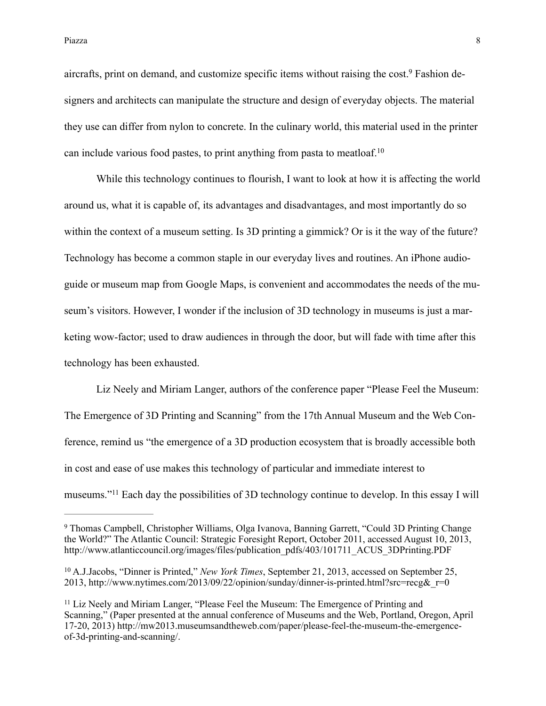aircrafts, print on demand, and customize specific items without raising the cost.<sup>9</sup> Fashion designers and architects can manipulate the structure and design of everyday objects. The material they use can differ from nylon to concrete. In the culinary world, this material used in the printer can include various food pastes, to print anything from pasta to meatloaf.10

While this technology continues to flourish, I want to look at how it is affecting the world around us, what it is capable of, its advantages and disadvantages, and most importantly do so within the context of a museum setting. Is 3D printing a gimmick? Or is it the way of the future? Technology has become a common staple in our everyday lives and routines. An iPhone audioguide or museum map from Google Maps, is convenient and accommodates the needs of the museum's visitors. However, I wonder if the inclusion of 3D technology in museums is just a marketing wow-factor; used to draw audiences in through the door, but will fade with time after this technology has been exhausted.

 Liz Neely and Miriam Langer, authors of the conference paper "Please Feel the Museum: The Emergence of 3D Printing and Scanning" from the 17th Annual Museum and the Web Conference, remind us "the emergence of a 3D production ecosystem that is broadly accessible both in cost and ease of use makes this technology of particular and immediate interest to museums."<sup>11</sup> Each day the possibilities of 3D technology continue to develop. In this essay I will

Thomas Campbell, Christopher Williams, Olga Ivanova, Banning Garrett, "Could 3D Printing Change 9 the World?" The Atlantic Council: Strategic Foresight Report, October 2011, accessed August 10, 2013, [http://www.atlanticcouncil.org/images/files/publication\\_pdfs/403/101711\\_ACUS\\_3DPrinting.PDF](http://www.atlanticcouncil.org/images/files/publication_pdfs/403/101711_ACUS_3DPrinting.PDF)

<sup>&</sup>lt;sup>10</sup> A.J.Jacobs, "Dinner is Printed," *New York Times*, September 21, 2013, accessed on September 25, 2013, http://www.nytimes.com/2013/09/22/opinion/sunday/dinner-is-printed.html?src=recg&r=0

 $11$  Liz Neely and Miriam Langer, "Please Feel the Museum: The Emergence of Printing and Scanning," (Paper presented at the annual conference of Museums and the Web, Portland, Oregon, April [17-20, 2013\) http://mw2013.museumsandtheweb.com/paper/please-feel-the-museum-the-emergence](http://mw2013.museumsandtheweb.com/paper/please-feel-the-museum-the-emergence-of-3d-printing-and-scanning/)of-3d-printing-and-scanning/.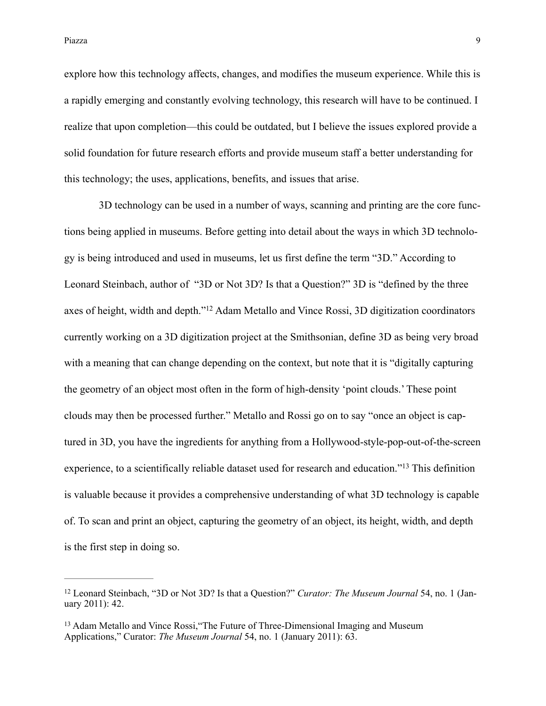explore how this technology affects, changes, and modifies the museum experience. While this is a rapidly emerging and constantly evolving technology, this research will have to be continued. I realize that upon completion—this could be outdated, but I believe the issues explored provide a solid foundation for future research efforts and provide museum staff a better understanding for this technology; the uses, applications, benefits, and issues that arise.

 3D technology can be used in a number of ways, scanning and printing are the core functions being applied in museums. Before getting into detail about the ways in which 3D technology is being introduced and used in museums, let us first define the term "3D." According to Leonard Steinbach, author of "3D or Not 3D? Is that a Question?" 3D is "defined by the three axes of height, width and depth."<sup>12</sup> Adam Metallo and Vince Rossi, 3D digitization coordinators currently working on a 3D digitization project at the Smithsonian, define 3D as being very broad with a meaning that can change depending on the context, but note that it is "digitally capturing the geometry of an object most often in the form of high-density 'point clouds.' These point clouds may then be processed further." Metallo and Rossi go on to say "once an object is captured in 3D, you have the ingredients for anything from a Hollywood-style-pop-out-of-the-screen experience, to a scientifically reliable dataset used for research and education."<sup>13</sup> This definition is valuable because it provides a comprehensive understanding of what 3D technology is capable of. To scan and print an object, capturing the geometry of an object, its height, width, and depth is the first step in doing so.

<sup>&</sup>lt;sup>12</sup> Leonard Steinbach, "3D or Not 3D? Is that a Question?" *Curator: The Museum Journal* 54, no. 1 (January 2011): 42.

<sup>&</sup>lt;sup>13</sup> Adam Metallo and Vince Rossi, "The Future of Three-Dimensional Imaging and Museum Applications," Curator: *The Museum Journal* 54, no. 1 (January 2011): 63.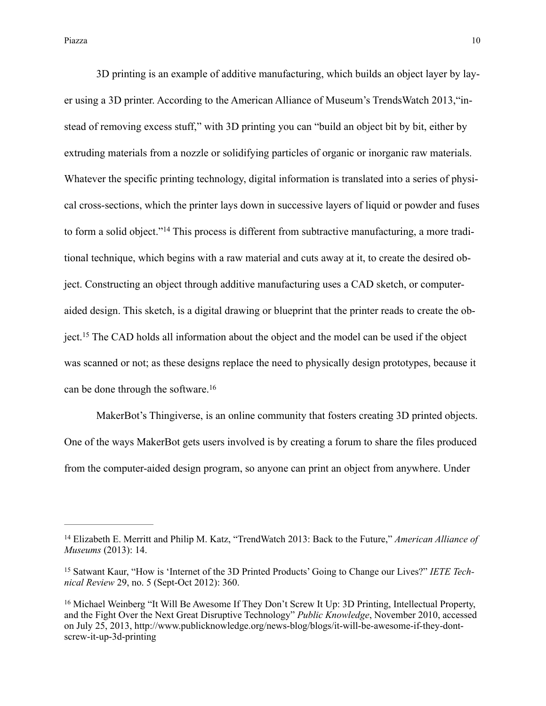3D printing is an example of additive manufacturing, which builds an object layer by layer using a 3D printer. According to the American Alliance of Museum's TrendsWatch 2013,"instead of removing excess stuff," with 3D printing you can "build an object bit by bit, either by extruding materials from a nozzle or solidifying particles of organic or inorganic raw materials. Whatever the specific printing technology, digital information is translated into a series of physical cross-sections, which the printer lays down in successive layers of liquid or powder and fuses to form a solid object."<sup>14</sup> This process is different from subtractive manufacturing, a more traditional technique, which begins with a raw material and cuts away at it, to create the desired object. Constructing an object through additive manufacturing uses a CAD sketch, or computeraided design. This sketch, is a digital drawing or blueprint that the printer reads to create the object.<sup>15</sup> The CAD holds all information about the object and the model can be used if the object was scanned or not; as these designs replace the need to physically design prototypes, because it can be done through the software.<sup>16</sup>

 MakerBot's Thingiverse, is an online community that fosters creating 3D printed objects. One of the ways MakerBot gets users involved is by creating a forum to share the files produced from the computer-aided design program, so anyone can print an object from anywhere. Under

Elizabeth E. Merritt and Philip M. Katz, "TrendWatch 2013: Back to the Future," *American Alliance of* <sup>14</sup> *Museums* (2013): 14.

<sup>&</sup>lt;sup>15</sup> Satwant Kaur, "How is 'Internet of the 3D Printed Products' Going to Change our Lives?" *IETE Technical Review* 29, no. 5 (Sept-Oct 2012): 360.

<sup>&</sup>lt;sup>16</sup> Michael Weinberg "It Will Be Awesome If They Don't Screw It Up: 3D Printing, Intellectual Property, and the Fight Over the Next Great Disruptive Technology" *Public Knowledge*, November 2010, accessed [on July 25, 2013, http://www.publicknowledge.org/news-blog/blogs/it-will-be-awesome-if-they-dont](http://www.publicknowledge.org/news-blog/blogs/it-will-be-awesome-if-they-dont-screw-it-up-3d-printing)screw-it-up-3d-printing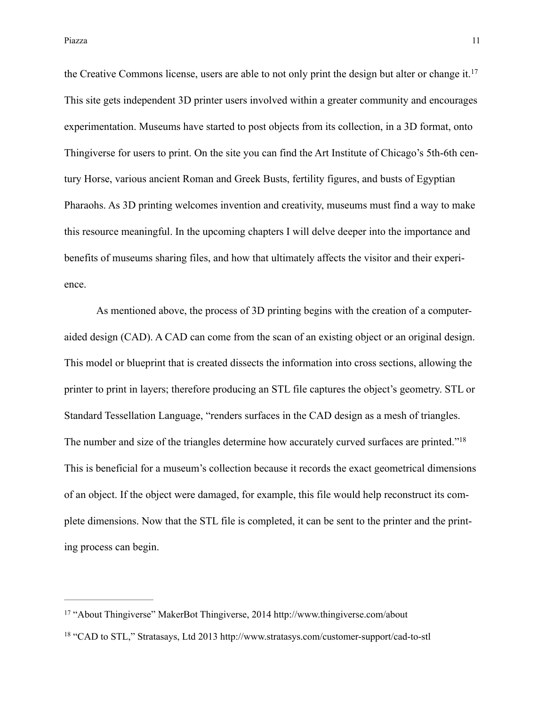Piazza **11** anno 11 anno 11 anno 12 anno 12 anno 12 anno 12 anno 12 anno 12 anno 12 anno 12 anno 12 anno 12 anno 12

the Creative Commons license, users are able to not only print the design but alter or change it. 17 This site gets independent 3D printer users involved within a greater community and encourages experimentation. Museums have started to post objects from its collection, in a 3D format, onto Thingiverse for users to print. On the site you can find the Art Institute of Chicago's 5th-6th century Horse, various ancient Roman and Greek Busts, fertility figures, and busts of Egyptian Pharaohs. As 3D printing welcomes invention and creativity, museums must find a way to make this resource meaningful. In the upcoming chapters I will delve deeper into the importance and benefits of museums sharing files, and how that ultimately affects the visitor and their experience.

 As mentioned above, the process of 3D printing begins with the creation of a computeraided design (CAD). A CAD can come from the scan of an existing object or an original design. This model or blueprint that is created dissects the information into cross sections, allowing the printer to print in layers; therefore producing an STL file captures the object's geometry. STL or Standard Tessellation Language, "renders surfaces in the CAD design as a mesh of triangles. The number and size of the triangles determine how accurately curved surfaces are printed."<sup>18</sup> This is beneficial for a museum's collection because it records the exact geometrical dimensions of an object. If the object were damaged, for example, this file would help reconstruct its complete dimensions. Now that the STL file is completed, it can be sent to the printer and the printing process can begin.

<sup>&</sup>lt;sup>17</sup> "About Thingiverse" MakerBot Thingiverse, 2014<http://www.thingiverse.com/about>

<sup>&</sup>lt;sup>18</sup> "CAD to STL," Stratasays, Ltd 2013<http://www.stratasys.com/customer-support/cad-to-stl>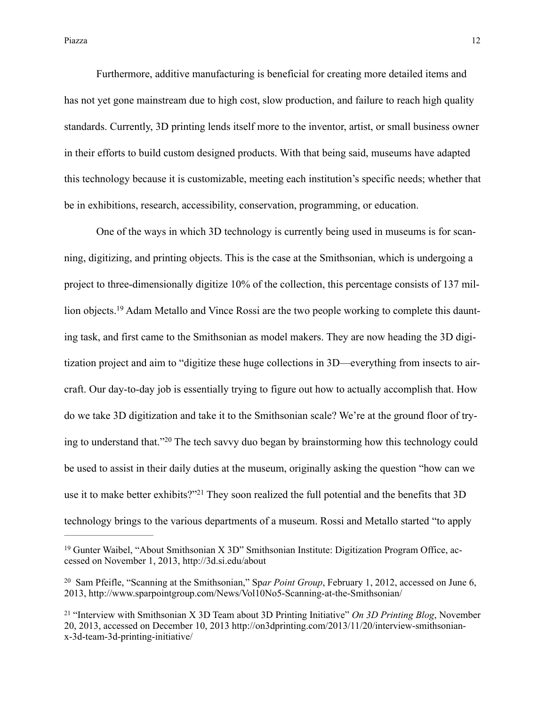Furthermore, additive manufacturing is beneficial for creating more detailed items and has not yet gone mainstream due to high cost, slow production, and failure to reach high quality standards. Currently, 3D printing lends itself more to the inventor, artist, or small business owner in their efforts to build custom designed products. With that being said, museums have adapted this technology because it is customizable, meeting each institution's specific needs; whether that be in exhibitions, research, accessibility, conservation, programming, or education.

 One of the ways in which 3D technology is currently being used in museums is for scanning, digitizing, and printing objects. This is the case at the Smithsonian, which is undergoing a project to three-dimensionally digitize 10% of the collection, this percentage consists of 137 million objects.<sup>19</sup> Adam Metallo and Vince Rossi are the two people working to complete this daunting task, and first came to the Smithsonian as model makers. They are now heading the 3D digitization project and aim to "digitize these huge collections in 3D—everything from insects to aircraft. Our day-to-day job is essentially trying to figure out how to actually accomplish that. How do we take 3D digitization and take it to the Smithsonian scale? We're at the ground floor of trying to understand that." $20$  The tech savvy duo began by brainstorming how this technology could be used to assist in their daily duties at the museum, originally asking the question "how can we use it to make better exhibits?"<sup>21</sup> They soon realized the full potential and the benefits that 3D technology brings to the various departments of a museum. Rossi and Metallo started "to apply

 $19$  Gunter Waibel, "About Smithsonian X 3D" Smithsonian Institute: Digitization Program Office, accessed on November 1, 2013, <http://3d.si.edu/about>

<sup>&</sup>lt;sup>20</sup> Sam Pfeifle, "Scanning at the Smithsonian," Spar *Point Group*, February 1, 2012, accessed on June 6, 2013, <http://www.sparpointgroup.com/News/Vol10No5-Scanning-at-the-Smithsonian/>

<sup>&</sup>lt;sup>21</sup> "Interview with Smithsonian X 3D Team about 3D Printing Initiative" *On 3D Printing Blog*, November [20, 2013, accessed on December 10, 2013 http://on3dprinting.com/2013/11/20/interview-smithsonian](http://on3dprinting.com/2013/11/20/interview-smithsonian-x-3d-team-3d-printing-initiative/)x-3d-team-3d-printing-initiative/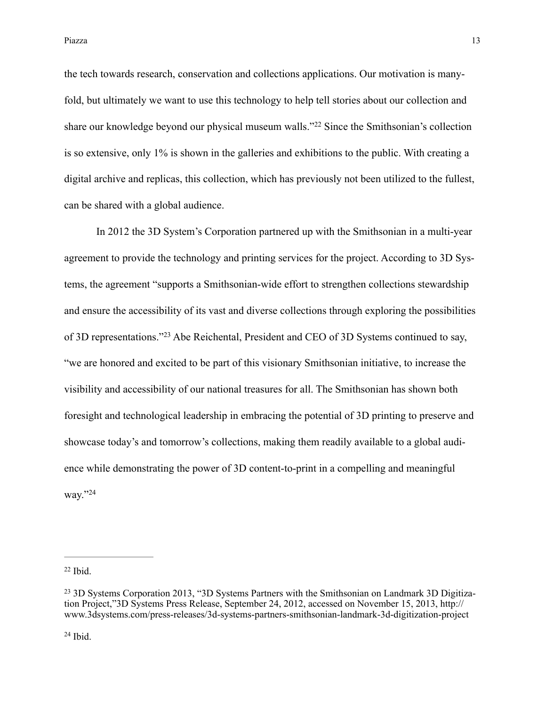Piazza a na 13 ha analisis na katalana a 13 ha analisis na katalana a 13 ha an am am am am am am am am am am a

the tech towards research, conservation and collections applications. Our motivation is manyfold, but ultimately we want to use this technology to help tell stories about our collection and share our knowledge beyond our physical museum walls."<sup>22</sup> Since the Smithsonian's collection is so extensive, only 1% is shown in the galleries and exhibitions to the public. With creating a digital archive and replicas, this collection, which has previously not been utilized to the fullest, can be shared with a global audience.

 In 2012 the 3D System's Corporation partnered up with the Smithsonian in a multi-year agreement to provide the technology and printing services for the project. According to 3D Systems, the agreement "supports a Smithsonian-wide effort to strengthen collections stewardship and ensure the accessibility of its vast and diverse collections through exploring the possibilities of 3D representations."<sup>23</sup> Abe Reichental, President and CEO of 3D Systems continued to say, "we are honored and excited to be part of this visionary Smithsonian initiative, to increase the visibility and accessibility of our national treasures for all. The Smithsonian has shown both foresight and technological leadership in embracing the potential of 3D printing to preserve and showcase today's and tomorrow's collections, making them readily available to a global audience while demonstrating the power of 3D content-to-print in a compelling and meaningful way."24

 $22$  Ibid.

 $24$  Ibid.

<sup>&</sup>lt;sup>23</sup> 3D Systems Corporation 2013, "3D Systems Partners with the Smithsonian on Landmark 3D Digitization Project,"3D Systems Press Release, September 24, 2012, accessed on November 15, 2013, http:// [www.3dsystems.com/press-releases/3d-systems-partners-smithsonian-landmark-3d-digitization-project](http://www.3dsystems.com/press-releases/3d-systems-partners-smithsonian-landmark-3d-digitization-project)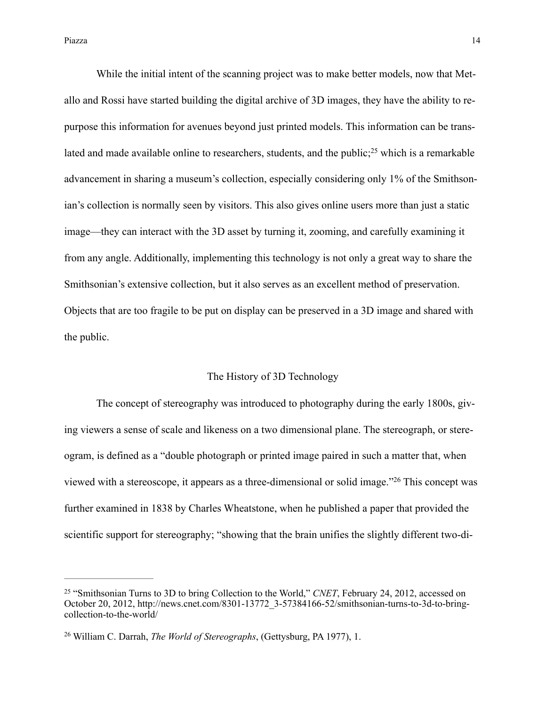Piazza a chine a chine a chine a chine a chine a chine a chine a chine a chine a chine a chine a chine a chine a chine a chine a chine a chine a chine a chine a chine a chine a chine a chine a chine a chine a chine a chine

 While the initial intent of the scanning project was to make better models, now that Metallo and Rossi have started building the digital archive of 3D images, they have the ability to repurpose this information for avenues beyond just printed models. This information can be translated and made available online to researchers, students, and the public; $^{25}$  which is a remarkable advancement in sharing a museum's collection, especially considering only 1% of the Smithsonian's collection is normally seen by visitors. This also gives online users more than just a static image—they can interact with the 3D asset by turning it, zooming, and carefully examining it from any angle. Additionally, implementing this technology is not only a great way to share the Smithsonian's extensive collection, but it also serves as an excellent method of preservation. Objects that are too fragile to be put on display can be preserved in a 3D image and shared with the public.

#### The History of 3D Technology

 The concept of stereography was introduced to photography during the early 1800s, giving viewers a sense of scale and likeness on a two dimensional plane. The stereograph, or stereogram, is defined as a "double photograph or printed image paired in such a matter that, when viewed with a stereoscope, it appears as a three-dimensional or solid image."<sup>26</sup> This concept was further examined in 1838 by Charles Wheatstone, when he published a paper that provided the scientific support for stereography; "showing that the brain unifies the slightly different two-di-

<sup>&</sup>lt;sup>25</sup> "Smithsonian Turns to 3D to bring Collection to the World," *CNET*, February 24, 2012, accessed on [October 20, 2012, http://news.cnet.com/8301-13772\\_3-57384166-52/smithsonian-turns-to-3d-to-bring](http://news.cnet.com/8301-13772_3-57384166-52/smithsonian-turns-to-3d-to-bring-collection-to-the-world/)collection-to-the-world/

<sup>&</sup>lt;sup>26</sup> William C. Darrah, *The World of Stereographs*, (Gettysburg, PA 1977), 1.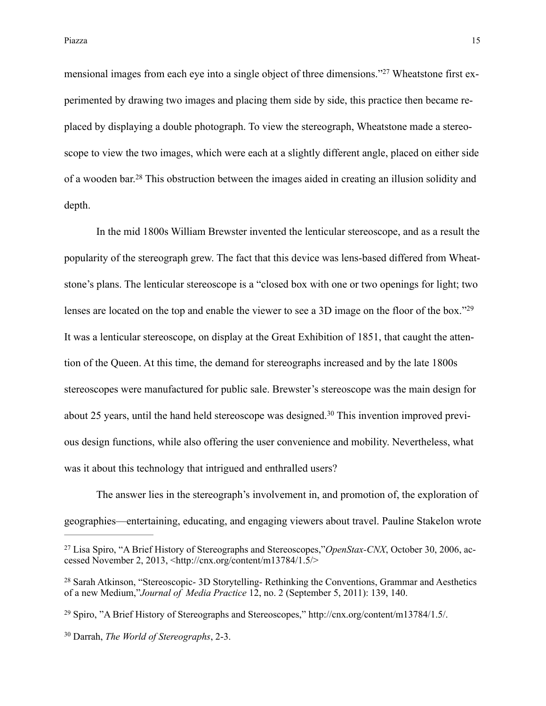mensional images from each eye into a single object of three dimensions."<sup>27</sup> Wheatstone first experimented by drawing two images and placing them side by side, this practice then became replaced by displaying a double photograph. To view the stereograph, Wheatstone made a stereoscope to view the two images, which were each at a slightly different angle, placed on either side of a wooden bar.<sup>28</sup> This obstruction between the images aided in creating an illusion solidity and depth.

 In the mid 1800s William Brewster invented the lenticular stereoscope, and as a result the popularity of the stereograph grew. The fact that this device was lens-based differed from Wheatstone's plans. The lenticular stereoscope is a "closed box with one or two openings for light; two lenses are located on the top and enable the viewer to see a 3D image on the floor of the box."<sup>29</sup> It was a lenticular stereoscope, on display at the Great Exhibition of 1851, that caught the attention of the Queen. At this time, the demand for stereographs increased and by the late 1800s stereoscopes were manufactured for public sale. Brewster's stereoscope was the main design for about 25 years, until the hand held stereoscope was designed.<sup>30</sup> This invention improved previous design functions, while also offering the user convenience and mobility. Nevertheless, what was it about this technology that intrigued and enthralled users?

 The answer lies in the stereograph's involvement in, and promotion of, the exploration of geographies—entertaining, educating, and engaging viewers about travel. Pauline Stakelon wrote

<sup>29</sup> Spiro, "A Brief History of Stereographs and Stereoscopes," [http://cnx.org/content/m13784/1.5/.](http://cnx.org/content/m13784/1.5/)

<sup>&</sup>lt;sup>27</sup> Lisa Spiro, "A Brief History of Stereographs and Stereoscopes,"*OpenStax-CNX*, October 30, 2006, accessed November 2, 2013, [<http://cnx.org/content/m13784/1.5/](http://cnx.org/content/m13784/1.5/)>

<sup>&</sup>lt;sup>28</sup> Sarah Atkinson, "Stereoscopic- 3D Storytelling- Rethinking the Conventions, Grammar and Aesthetics of a new Medium,"*Journal of Media Practice* 12, no. 2 (September 5, 2011): 139, 140.

<sup>&</sup>lt;sup>30</sup> Darrah, *The World of Stereographs*, 2-3.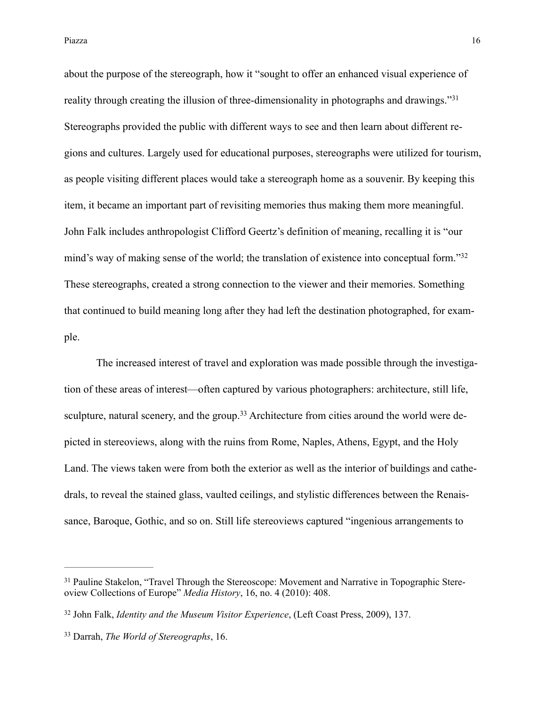Piazza a chine di controllato di controllato di controllato di controllato di controllato di controllato di co

about the purpose of the stereograph, how it "sought to offer an enhanced visual experience of reality through creating the illusion of three-dimensionality in photographs and drawings."<sup>31</sup> Stereographs provided the public with different ways to see and then learn about different regions and cultures. Largely used for educational purposes, stereographs were utilized for tourism, as people visiting different places would take a stereograph home as a souvenir. By keeping this item, it became an important part of revisiting memories thus making them more meaningful. John Falk includes anthropologist Clifford Geertz's definition of meaning, recalling it is "our mind's way of making sense of the world; the translation of existence into conceptual form."<sup>32</sup> These stereographs, created a strong connection to the viewer and their memories. Something that continued to build meaning long after they had left the destination photographed, for example.

 The increased interest of travel and exploration was made possible through the investigation of these areas of interest—often captured by various photographers: architecture, still life, sculpture, natural scenery, and the group.<sup>33</sup> Architecture from cities around the world were depicted in stereoviews, along with the ruins from Rome, Naples, Athens, Egypt, and the Holy Land. The views taken were from both the exterior as well as the interior of buildings and cathedrals, to reveal the stained glass, vaulted ceilings, and stylistic differences between the Renaissance, Baroque, Gothic, and so on. Still life stereoviews captured "ingenious arrangements to

<sup>&</sup>lt;sup>31</sup> Pauline Stakelon, "Travel Through the Stereoscope: Movement and Narrative in Topographic Stereoview Collections of Europe" *Media History*, 16, no. 4 (2010): 408.

<sup>&</sup>lt;sup>32</sup> John Falk, *Identity and the Museum Visitor Experience*, (Left Coast Press, 2009), 137.

Darrah, *The World of Stereographs*, 16. 33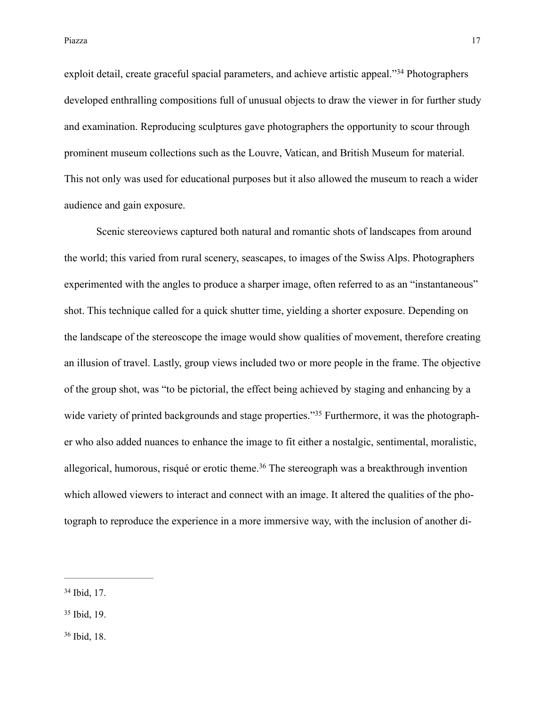exploit detail, create graceful spacial parameters, and achieve artistic appeal."<sup>34</sup> Photographers developed enthralling compositions full of unusual objects to draw the viewer in for further study and examination. Reproducing sculptures gave photographers the opportunity to scour through prominent museum collections such as the Louvre, Vatican, and British Museum for material. This not only was used for educational purposes but it also allowed the museum to reach a wider audience and gain exposure.

 Scenic stereoviews captured both natural and romantic shots of landscapes from around the world; this varied from rural scenery, seascapes, to images of the Swiss Alps. Photographers experimented with the angles to produce a sharper image, often referred to as an "instantaneous" shot. This technique called for a quick shutter time, yielding a shorter exposure. Depending on the landscape of the stereoscope the image would show qualities of movement, therefore creating an illusion of travel. Lastly, group views included two or more people in the frame. The objective of the group shot, was "to be pictorial, the effect being achieved by staging and enhancing by a wide variety of printed backgrounds and stage properties."<sup>35</sup> Furthermore, it was the photographer who also added nuances to enhance the image to fit either a nostalgic, sentimental, moralistic, allegorical, humorous, risqué or erotic theme.<sup>36</sup> The stereograph was a breakthrough invention which allowed viewers to interact and connect with an image. It altered the qualities of the photograph to reproduce the experience in a more immersive way, with the inclusion of another di-

<sup>36</sup> Ibid, 18.

 $34$  Ibid, 17.

<sup>&</sup>lt;sup>35</sup> Ibid, 19.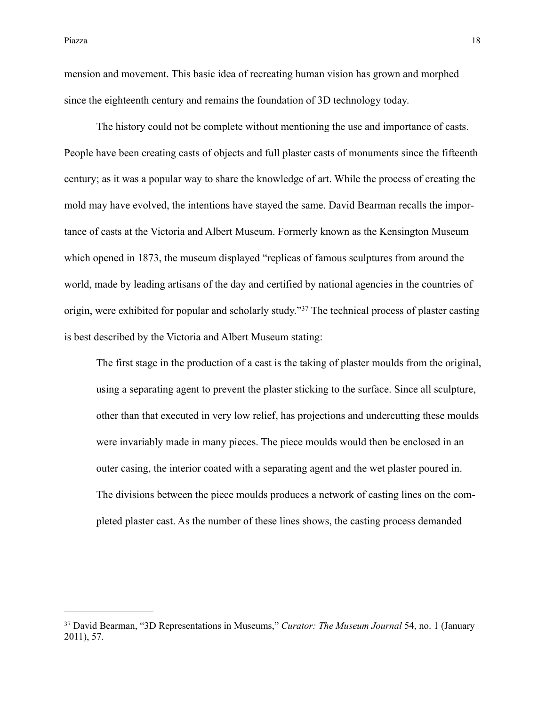mension and movement. This basic idea of recreating human vision has grown and morphed since the eighteenth century and remains the foundation of 3D technology today.

 The history could not be complete without mentioning the use and importance of casts. People have been creating casts of objects and full plaster casts of monuments since the fifteenth century; as it was a popular way to share the knowledge of art. While the process of creating the mold may have evolved, the intentions have stayed the same. David Bearman recalls the importance of casts at the Victoria and Albert Museum. Formerly known as the Kensington Museum which opened in 1873, the museum displayed "replicas of famous sculptures from around the world, made by leading artisans of the day and certified by national agencies in the countries of origin, were exhibited for popular and scholarly study."<sup>37</sup> The technical process of plaster casting is best described by the Victoria and Albert Museum stating:

The first stage in the production of a cast is the taking of plaster moulds from the original, using a separating agent to prevent the plaster sticking to the surface. Since all sculpture, other than that executed in very low relief, has projections and undercutting these moulds were invariably made in many pieces. The piece moulds would then be enclosed in an outer casing, the interior coated with a separating agent and the wet plaster poured in. The divisions between the piece moulds produces a network of casting lines on the completed plaster cast. As the number of these lines shows, the casting process demanded

<sup>&</sup>lt;sup>37</sup> David Bearman, "3D Representations in Museums," *Curator: The Museum Journal* 54, no. 1 (January 2011), 57.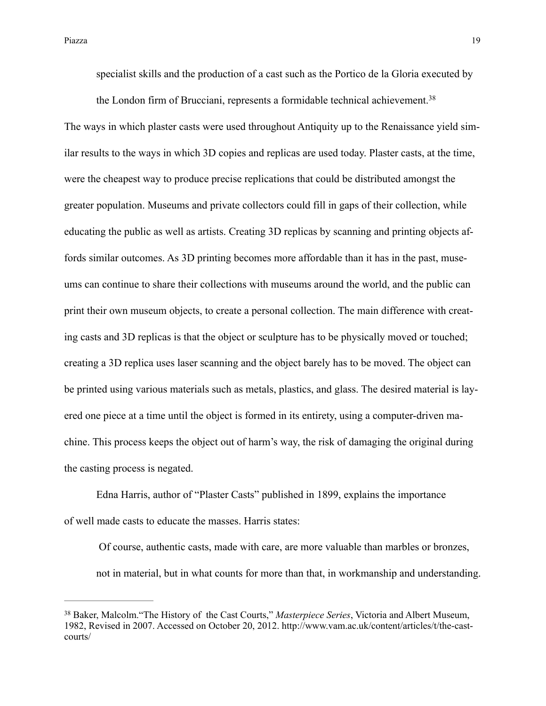the London firm of Brucciani, represents a formidable technical achievement.<sup>38</sup> The ways in which plaster casts were used throughout Antiquity up to the Renaissance yield similar results to the ways in which 3D copies and replicas are used today. Plaster casts, at the time, were the cheapest way to produce precise replications that could be distributed amongst the greater population. Museums and private collectors could fill in gaps of their collection, while educating the public as well as artists. Creating 3D replicas by scanning and printing objects affords similar outcomes. As 3D printing becomes more affordable than it has in the past, museums can continue to share their collections with museums around the world, and the public can print their own museum objects, to create a personal collection. The main difference with creating casts and 3D replicas is that the object or sculpture has to be physically moved or touched; creating a 3D replica uses laser scanning and the object barely has to be moved. The object can be printed using various materials such as metals, plastics, and glass. The desired material is layered one piece at a time until the object is formed in its entirety, using a computer-driven machine. This process keeps the object out of harm's way, the risk of damaging the original during the casting process is negated.

Edna Harris, author of "Plaster Casts" published in 1899, explains the importance of well made casts to educate the masses. Harris states:

 Of course, authentic casts, made with care, are more valuable than marbles or bronzes, not in material, but in what counts for more than that, in workmanship and understanding.

<sup>&</sup>lt;sup>38</sup> Baker, Malcolm. "The History of the Cast Courts," *Masterpiece Series*, Victoria and Albert Museum, [1982, Revised in 2007. Accessed on October 20, 2012. http://www.vam.ac.uk/content/articles/t/the-cast](http://www.vam.ac.uk/content/articles/t/the-cast-courts/)courts/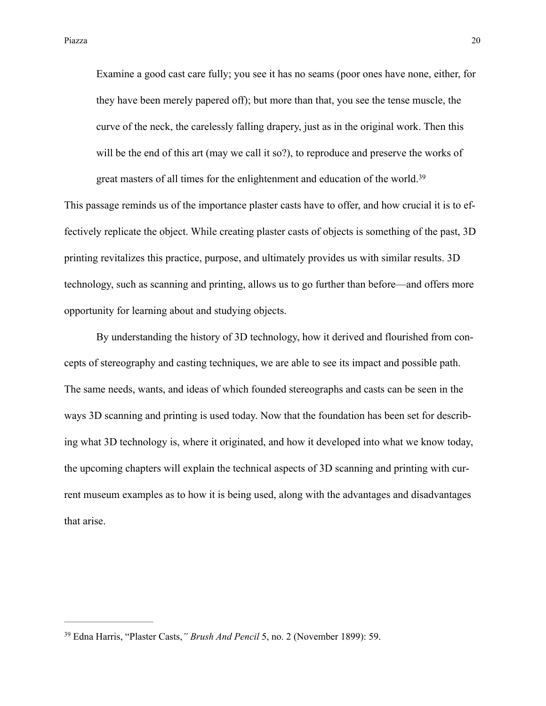Examine a good cast care fully; you see it has no seams (poor ones have none, either, for they have been merely papered off); but more than that, you see the tense muscle, the curve of the neck, the carelessly falling drapery, just as in the original work. Then this will be the end of this art (may we call it so?), to reproduce and preserve the works of great masters of all times for the enlightenment and education of the world.39

This passage reminds us of the importance plaster casts have to offer, and how crucial it is to effectively replicate the object. While creating plaster casts of objects is something of the past, 3D printing revitalizes this practice, purpose, and ultimately provides us with similar results. 3D technology, such as scanning and printing, allows us to go further than before—and offers more opportunity for learning about and studying objects.

 By understanding the history of 3D technology, how it derived and flourished from concepts of stereography and casting techniques, we are able to see its impact and possible path. The same needs, wants, and ideas of which founded stereographs and casts can be seen in the ways 3D scanning and printing is used today. Now that the foundation has been set for describing what 3D technology is, where it originated, and how it developed into what we know today, the upcoming chapters will explain the technical aspects of 3D scanning and printing with current museum examples as to how it is being used, along with the advantages and disadvantages that arise.

<sup>&</sup>lt;sup>39</sup> Edna Harris, "Plaster Casts," Brush And Pencil 5, no. 2 (November 1899): 59.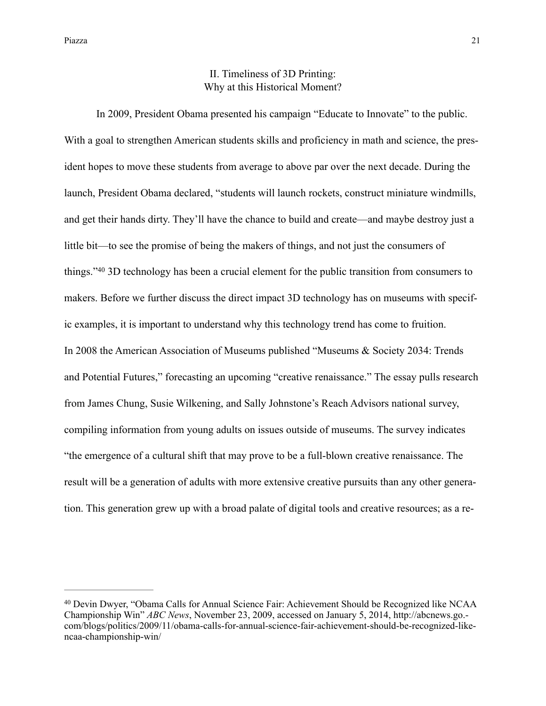### II. Timeliness of 3D Printing: Why at this Historical Moment?

 In 2009, President Obama presented his campaign "Educate to Innovate" to the public. With a goal to strengthen American students skills and proficiency in math and science, the president hopes to move these students from average to above par over the next decade. During the launch, President Obama declared, "students will launch rockets, construct miniature windmills, and get their hands dirty. They'll have the chance to build and create—and maybe destroy just a little bit—to see the promise of being the makers of things, and not just the consumers of things." $40$  3D technology has been a crucial element for the public transition from consumers to makers. Before we further discuss the direct impact 3D technology has on museums with specific examples, it is important to understand why this technology trend has come to fruition. In 2008 the American Association of Museums published "Museums & Society 2034: Trends and Potential Futures," forecasting an upcoming "creative renaissance." The essay pulls research from James Chung, Susie Wilkening, and Sally Johnstone's Reach Advisors national survey, compiling information from young adults on issues outside of museums. The survey indicates "the emergence of a cultural shift that may prove to be a full-blown creative renaissance. The result will be a generation of adults with more extensive creative pursuits than any other generation. This generation grew up with a broad palate of digital tools and creative resources; as a re-

<sup>&</sup>lt;sup>40</sup> Devin Dwyer, "Obama Calls for Annual Science Fair: Achievement Should be Recognized like NCAA Championship Win" *ABC News*, November 23, 2009, accessed on January 5, 2014, http://abcnews.go. [com/blogs/politics/2009/11/obama-calls-for-annual-science-fair-achievement-should-be-recognized-like](http://abcnews.go.com/blogs/politics/2009/11/obama-calls-for-annual-science-fair-achievement-should-be-recognized-like-ncaa-championship-win/)ncaa-championship-win/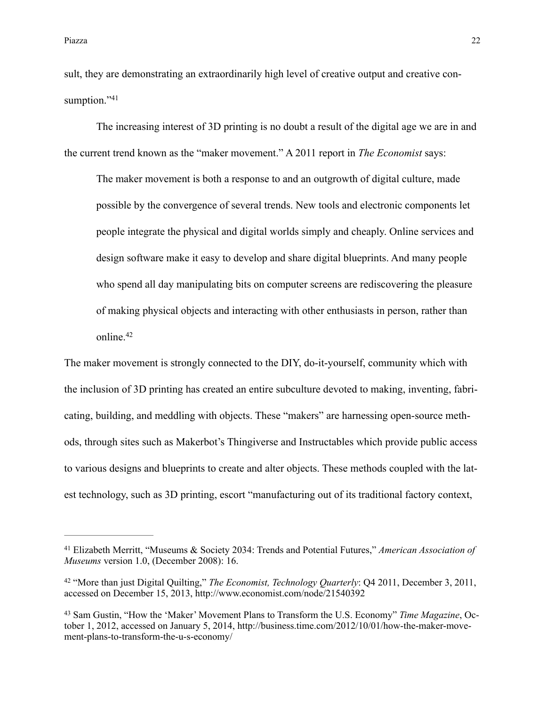sult, they are demonstrating an extraordinarily high level of creative output and creative consumption."41

The increasing interest of 3D printing is no doubt a result of the digital age we are in and the current trend known as the "maker movement." A 2011 report in *The Economist* says:

The maker movement is both a response to and an outgrowth of digital culture, made possible by the convergence of several trends. New tools and electronic components let people integrate the physical and digital worlds simply and cheaply. Online services and design software make it easy to develop and share digital blueprints. And many people who spend all day manipulating bits on computer screens are rediscovering the pleasure of making physical objects and interacting with other enthusiasts in person, rather than online.<sup>42</sup>

The maker movement is strongly connected to the DIY, do-it-yourself, community which with the inclusion of 3D printing has created an entire subculture devoted to making, inventing, fabricating, building, and meddling with objects. These "makers" are harnessing open-source methods, through sites such as Makerbot's Thingiverse and Instructables which provide public access to various designs and blueprints to create and alter objects. These methods coupled with the latest technology, such as 3D printing, escort "manufacturing out of its traditional factory context,

Elizabeth Merritt, "Museums & Society 2034: Trends and Potential Futures," *American Association of* <sup>41</sup> *Museums* version 1.0, (December 2008): 16.

<sup>&</sup>lt;sup>42</sup> "More than just Digital Quilting," *The Economist, Technology Quarterly*: Q4 2011, December 3, 2011, accessed on December 15, 2013, <http://www.economist.com/node/21540392>

<sup>&</sup>lt;sup>43</sup> Sam Gustin, "How the 'Maker' Movement Plans to Transform the U.S. Economy" *Time Magazine*, Oc[tober 1, 2012, accessed on January 5, 2014, http://business.time.com/2012/10/01/how-the-maker-move](http://business.time.com/2012/10/01/how-the-maker-movement-plans-to-transform-the-u-s-economy/)ment-plans-to-transform-the-u-s-economy/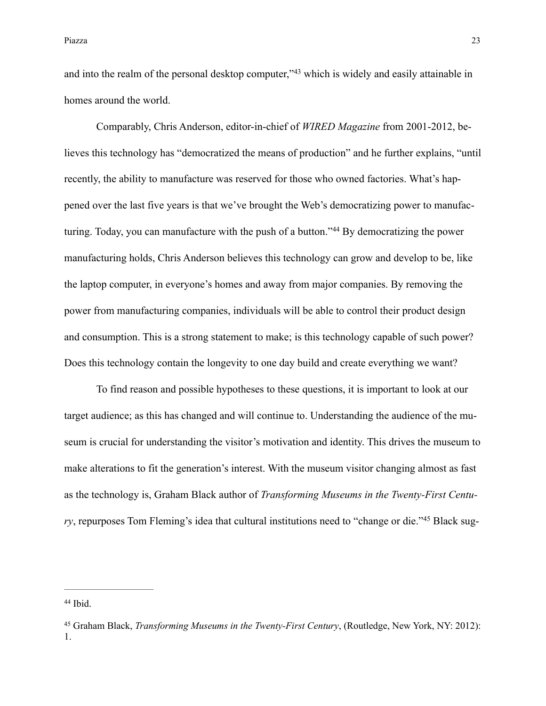and into the realm of the personal desktop computer," $43$  which is widely and easily attainable in homes around the world.

 Comparably, Chris Anderson, editor-in-chief of *WIRED Magazine* from 2001-2012, believes this technology has "democratized the means of production" and he further explains, "until recently, the ability to manufacture was reserved for those who owned factories. What's happened over the last five years is that we've brought the Web's democratizing power to manufacturing. Today, you can manufacture with the push of a button."<sup>44</sup> By democratizing the power manufacturing holds, Chris Anderson believes this technology can grow and develop to be, like the laptop computer, in everyone's homes and away from major companies. By removing the power from manufacturing companies, individuals will be able to control their product design and consumption. This is a strong statement to make; is this technology capable of such power? Does this technology contain the longevity to one day build and create everything we want?

 To find reason and possible hypotheses to these questions, it is important to look at our target audience; as this has changed and will continue to. Understanding the audience of the museum is crucial for understanding the visitor's motivation and identity. This drives the museum to make alterations to fit the generation's interest. With the museum visitor changing almost as fast as the technology is, Graham Black author of *Transforming Museums in the Twenty-First Centu* $ry$ , repurposes Tom Fleming's idea that cultural institutions need to "change or die."<sup>45</sup> Black sug-

 $44$  Ibid.

Graham Black, *Transforming Museums in the Twenty-First Century*, (Routledge, New York, NY: 2012): <sup>45</sup> 1.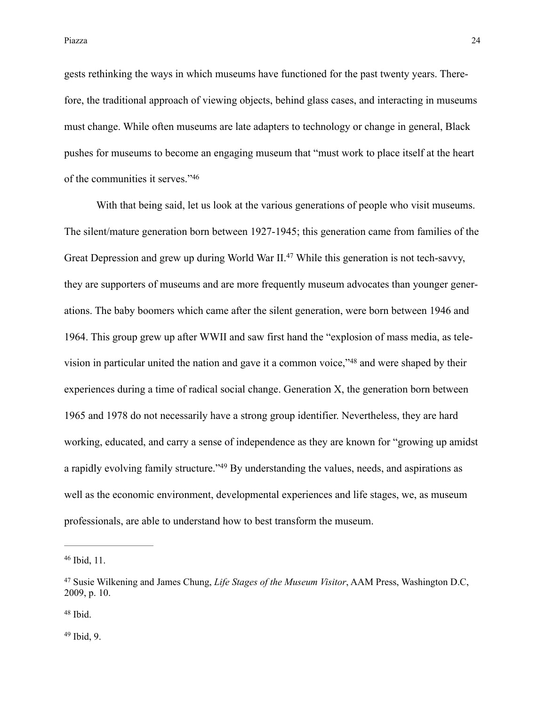gests rethinking the ways in which museums have functioned for the past twenty years. Therefore, the traditional approach of viewing objects, behind glass cases, and interacting in museums must change. While often museums are late adapters to technology or change in general, Black pushes for museums to become an engaging museum that "must work to place itself at the heart of the communities it serves."46

 With that being said, let us look at the various generations of people who visit museums. The silent/mature generation born between 1927-1945; this generation came from families of the Great Depression and grew up during World War II.<sup>47</sup> While this generation is not tech-savvy, they are supporters of museums and are more frequently museum advocates than younger generations. The baby boomers which came after the silent generation, were born between 1946 and 1964. This group grew up after WWII and saw first hand the "explosion of mass media, as television in particular united the nation and gave it a common voice," $48$  and were shaped by their experiences during a time of radical social change. Generation X, the generation born between 1965 and 1978 do not necessarily have a strong group identifier. Nevertheless, they are hard working, educated, and carry a sense of independence as they are known for "growing up amidst a rapidly evolving family structure."<sup>49</sup> By understanding the values, needs, and aspirations as well as the economic environment, developmental experiences and life stages, we, as museum professionals, are able to understand how to best transform the museum.

<sup>46</sup> Ibid, 11.

<sup>&</sup>lt;sup>47</sup> Susie Wilkening and James Chung, *Life Stages of the Museum Visitor*, AAM Press, Washington D.C, 2009, p. 10.

 $48$  Ibid.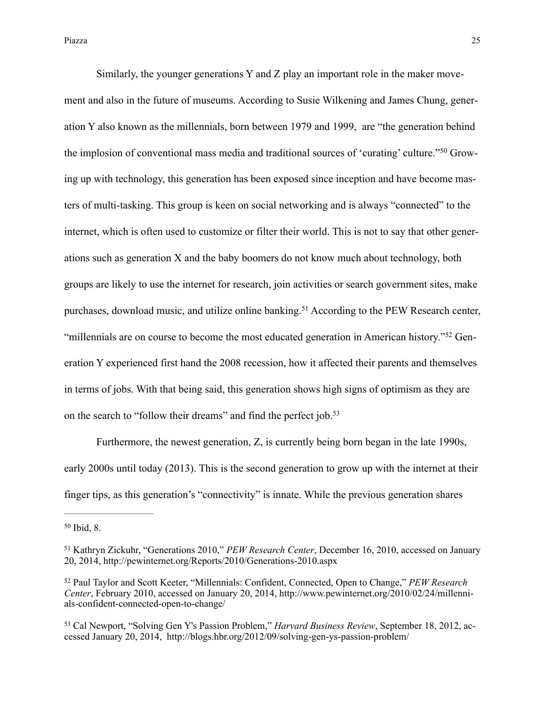Similarly, the younger generations Y and Z play an important role in the maker movement and also in the future of museums. According to Susie Wilkening and James Chung, generation Y also known as the millennials, born between 1979 and 1999, are "the generation behind the implosion of conventional mass media and traditional sources of 'curating' culture."50 Growing up with technology, this generation has been exposed since inception and have become masters of multi-tasking. This group is keen on social networking and is always "connected" to the internet, which is often used to customize or filter their world. This is not to say that other generations such as generation X and the baby boomers do not know much about technology, both groups are likely to use the internet for research, join activities or search government sites, make purchases, download music, and utilize online banking.<sup>51</sup> According to the PEW Research center, "millennials are on course to become the most educated generation in American history."<sup>52</sup> Generation Y experienced first hand the 2008 recession, how it affected their parents and themselves in terms of jobs. With that being said, this generation shows high signs of optimism as they are on the search to "follow their dreams" and find the perfect job.<sup>53</sup>

 Furthermore, the newest generation, Z, is currently being born began in the late 1990s, early 2000s until today (2013). This is the second generation to grow up with the internet at their finger tips, as this generation's "connectivity" is innate. While the previous generation shares

 $50$  Ibid, 8.

<sup>&</sup>lt;sup>51</sup> Kathryn Zickuhr, "Generations 2010," *PEW Research Center*, December 16, 2010, accessed on January 20, 2014, <http://pewinternet.org/Reports/2010/Generations-2010.aspx>

Paul Taylor and Scott Keeter, "Millennials: Confident, Connected, Open to Change," *PEW Research* <sup>52</sup> *Center*[, February 2010, accessed on January 20, 2014, http://www.pewinternet.org/2010/02/24/millenni](http://www.pewinternet.org/2010/02/24/millennials-confident-connected-open-to-change/)als-confident-connected-open-to-change/

<sup>&</sup>lt;sup>53</sup> Cal Newport, "Solving Gen Y's Passion Problem," *Harvard Business Review*, September 18, 2012, accessed January 20, 2014, <http://blogs.hbr.org/2012/09/solving-gen-ys-passion-problem/>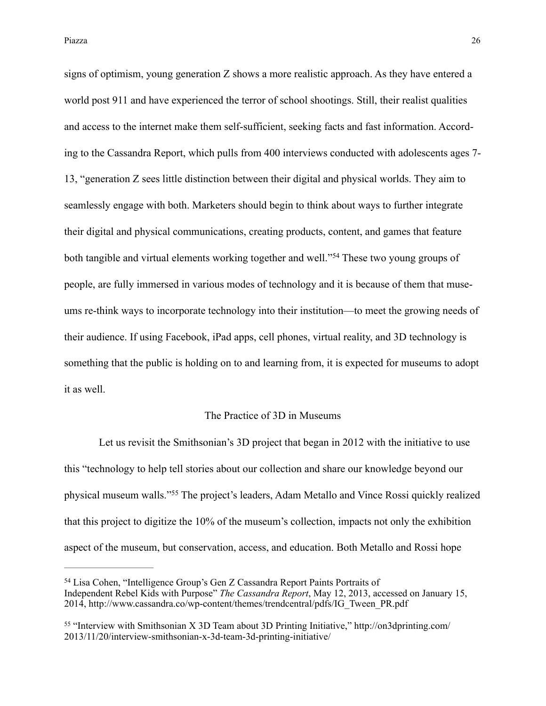signs of optimism, young generation Z shows a more realistic approach. As they have entered a world post 911 and have experienced the terror of school shootings. Still, their realist qualities and access to the internet make them self-sufficient, seeking facts and fast information. According to the Cassandra Report, which pulls from 400 interviews conducted with adolescents ages 7- 13, "generation Z sees little distinction between their digital and physical worlds. They aim to seamlessly engage with both. Marketers should begin to think about ways to further integrate their digital and physical communications, creating products, content, and games that feature both tangible and virtual elements working together and well."<sup>54</sup> These two young groups of people, are fully immersed in various modes of technology and it is because of them that museums re-think ways to incorporate technology into their institution—to meet the growing needs of their audience. If using Facebook, iPad apps, cell phones, virtual reality, and 3D technology is something that the public is holding on to and learning from, it is expected for museums to adopt it as well.

#### The Practice of 3D in Museums

 Let us revisit the Smithsonian's 3D project that began in 2012 with the initiative to use this "technology to help tell stories about our collection and share our knowledge beyond our physical museum walls."<sup>55</sup> The project's leaders, Adam Metallo and Vince Rossi quickly realized that this project to digitize the 10% of the museum's collection, impacts not only the exhibition aspect of the museum, but conservation, access, and education. Both Metallo and Rossi hope

<sup>&</sup>lt;sup>54</sup> Lisa Cohen, "Intelligence Group's Gen Z Cassandra Report Paints Portraits of Independent Rebel Kids with Purpose" *The Cassandra Report*, May 12, 2013, accessed on January 15, 2014, [http://www.cassandra.co/wp-content/themes/trendcentral/pdfs/IG\\_Tween\\_PR.pdf](http://www.cassandra.co/wp-content/themes/trendcentral/pdfs/IG_Tween_PR.pdf)

<sup>&</sup>lt;sup>55</sup> ["Interview with Smithsonian X 3D Team about 3D Printing Initiative," http://on3dprinting.com/](http://on3dprinting.com/2013/11/20/interview-smithsonian-x-3d-team-3d-printing-initiative/) 2013/11/20/interview-smithsonian-x-3d-team-3d-printing-initiative/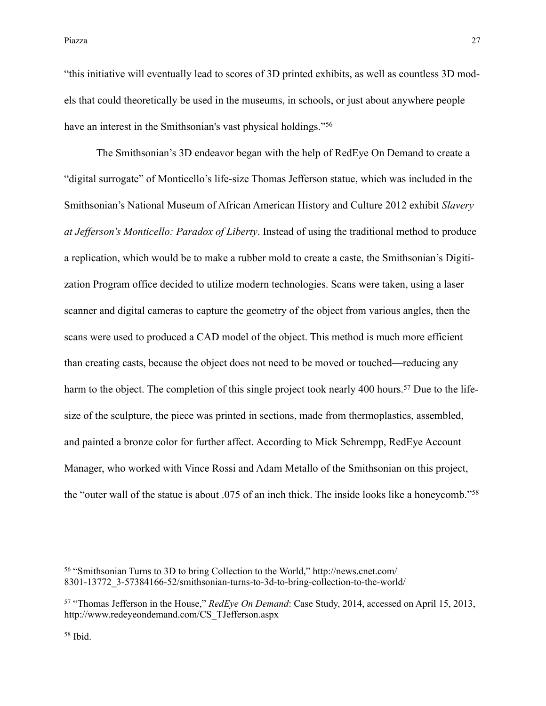"this initiative will eventually lead to scores of 3D printed exhibits, as well as countless 3D models that could theoretically be used in the museums, in schools, or just about anywhere people have an interest in the Smithsonian's vast physical holdings."<sup>56</sup>

 The Smithsonian's 3D endeavor began with the help of RedEye On Demand to create a "digital surrogate" of Monticello's life-size Thomas Jefferson statue, which was included in the Smithsonian's National Museum of African American History and Culture 2012 exhibit *Slavery at Jefferson's Monticello: Paradox of Liberty*. Instead of using the traditional method to produce a replication, which would be to make a rubber mold to create a caste, the Smithsonian's Digitization Program office decided to utilize modern technologies. Scans were taken, using a laser scanner and digital cameras to capture the geometry of the object from various angles, then the scans were used to produced a CAD model of the object. This method is much more efficient than creating casts, because the object does not need to be moved or touched—reducing any harm to the object. The completion of this single project took nearly 400 hours.<sup>57</sup> Due to the lifesize of the sculpture, the piece was printed in sections, made from thermoplastics, assembled, and painted a bronze color for further affect. According to Mick Schrempp, RedEye Account Manager, who worked with Vince Rossi and Adam Metallo of the Smithsonian on this project, the "outer wall of the statue is about .075 of an inch thick. The inside looks like a honeycomb."58

 $58$  Ibid.

<sup>&</sup>lt;sup>56</sup> "Smithsonian Turns to 3D to bring Collection to the World," http://news.cnet.com/ [8301-13772\\_3-57384166-52/smithsonian-turns-to-3d-to-bring-collection-to-the-world/](http://news.cnet.com/8301-13772_3-57384166-52/smithsonian-turns-to-3d-to-bring-collection-to-the-world/)

<sup>&</sup>lt;sup>57</sup> "Thomas Jefferson in the House," *RedEye On Demand*: Case Study, 2014, accessed on April 15, 2013, [http://www.redeyeondemand.com/CS\\_TJefferson.aspx](http://www.redeyeondemand.com/CS_TJefferson.aspx)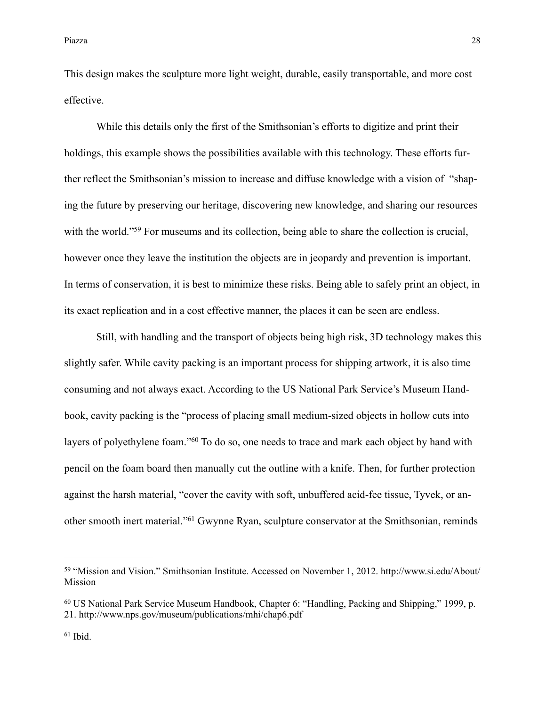This design makes the sculpture more light weight, durable, easily transportable, and more cost effective.

 While this details only the first of the Smithsonian's efforts to digitize and print their holdings, this example shows the possibilities available with this technology. These efforts further reflect the Smithsonian's mission to increase and diffuse knowledge with a vision of "shaping the future by preserving our heritage, discovering new knowledge, and sharing our resources with the world."<sup>59</sup> For museums and its collection, being able to share the collection is crucial, however once they leave the institution the objects are in jeopardy and prevention is important. In terms of conservation, it is best to minimize these risks. Being able to safely print an object, in its exact replication and in a cost effective manner, the places it can be seen are endless.

 Still, with handling and the transport of objects being high risk, 3D technology makes this slightly safer. While cavity packing is an important process for shipping artwork, it is also time consuming and not always exact. According to the US National Park Service's Museum Handbook, cavity packing is the "process of placing small medium-sized objects in hollow cuts into layers of polyethylene foam."<sup>60</sup> To do so, one needs to trace and mark each object by hand with pencil on the foam board then manually cut the outline with a knife. Then, for further protection against the harsh material, "cover the cavity with soft, unbuffered acid-fee tissue, Tyvek, or another smooth inert material."<sup>61</sup> Gwynne Ryan, sculpture conservator at the Smithsonian, reminds

<sup>&</sup>lt;sup>59</sup> ["Mission and Vision." Smithsonian Institute. Accessed on November 1, 2012. http://www.si.edu/About/](http://www.si.edu/About/Mission) Mission

<sup>&</sup>lt;sup>60</sup> US National Park Service Museum Handbook, Chapter 6: "Handling, Packing and Shipping," 1999, p. 21.<http://www.nps.gov/museum/publications/mhi/chap6.pdf>

 $61$  Ibid.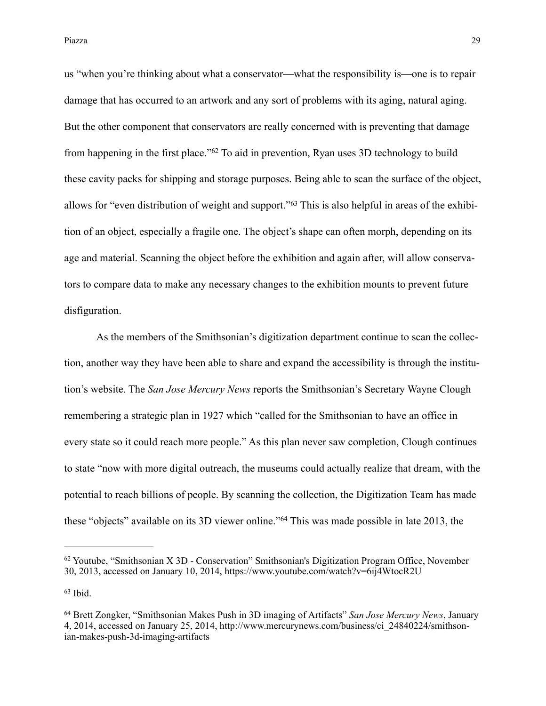us "when you're thinking about what a conservator—what the responsibility is—one is to repair damage that has occurred to an artwork and any sort of problems with its aging, natural aging. But the other component that conservators are really concerned with is preventing that damage from happening in the first place." $62$  To aid in prevention, Ryan uses 3D technology to build these cavity packs for shipping and storage purposes. Being able to scan the surface of the object, allows for "even distribution of weight and support."<sup>63</sup> This is also helpful in areas of the exhibition of an object, especially a fragile one. The object's shape can often morph, depending on its age and material. Scanning the object before the exhibition and again after, will allow conservators to compare data to make any necessary changes to the exhibition mounts to prevent future disfiguration.

 As the members of the Smithsonian's digitization department continue to scan the collection, another way they have been able to share and expand the accessibility is through the institution's website. The *San Jose Mercury News* reports the Smithsonian's Secretary Wayne Clough remembering a strategic plan in 1927 which "called for the Smithsonian to have an office in every state so it could reach more people." As this plan never saw completion, Clough continues to state "now with more digital outreach, the museums could actually realize that dream, with the potential to reach billions of people. By scanning the collection, the Digitization Team has made these "objects" available on its 3D viewer online."<sup>64</sup> This was made possible in late 2013, the

 $62$  Youtube, "Smithsonian X 3D - Conservation" [Smithsonian's Digitization Program Office](https://www.youtube.com/user/SmithsonianDPO), November 30, 2013, accessed on January 10, 2014, <https://www.youtube.com/watch?v=6ij4WtocR2U>

 $63$  Ibid.

<sup>&</sup>lt;sup>64</sup> Brett Zongker, "Smithsonian Makes Push in 3D imaging of Artifacts" *San Jose Mercury News*, January [4, 2014, accessed on January 25, 2014, http://www.mercurynews.com/business/ci\\_24840224/smithson](http://www.mercurynews.com/business/ci_24840224/smithsonian-makes-push-3d-imaging-artifacts)ian-makes-push-3d-imaging-artifacts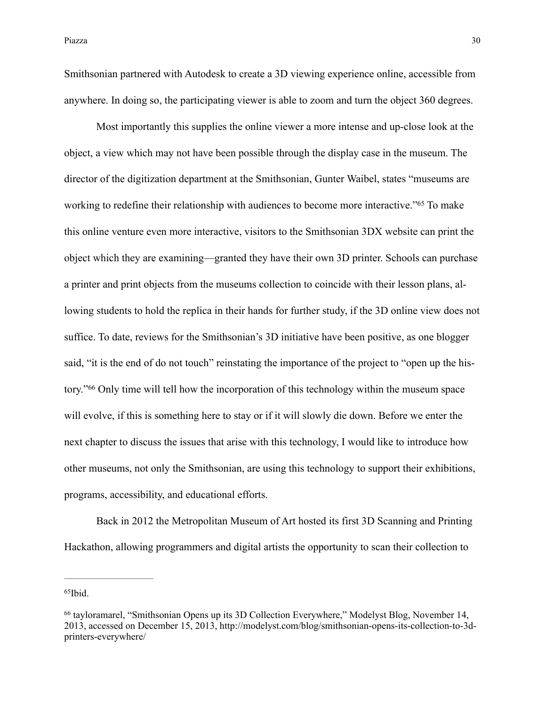Piazza a na matsayar a shekarar 1992. A shekarar 2008, a shekarar 2008, a shekarar 2008, a shekarar 2008, a sh

Smithsonian partnered with Autodesk to create a 3D viewing experience online, accessible from anywhere. In doing so, the participating viewer is able to zoom and turn the object 360 degrees.

 Most importantly this supplies the online viewer a more intense and up-close look at the object, a view which may not have been possible through the display case in the museum. The director of the digitization department at the Smithsonian, Gunter Waibel, states "museums are working to redefine their relationship with audiences to become more interactive."<sup>65</sup> To make this online venture even more interactive, visitors to the Smithsonian 3DX website can print the object which they are examining—granted they have their own 3D printer. Schools can purchase a printer and print objects from the museums collection to coincide with their lesson plans, allowing students to hold the replica in their hands for further study, if the 3D online view does not suffice. To date, reviews for the Smithsonian's 3D initiative have been positive, as one blogger said, "it is the end of do not touch" reinstating the importance of the project to "open up the history."<sup>66</sup> Only time will tell how the incorporation of this technology within the museum space will evolve, if this is something here to stay or if it will slowly die down. Before we enter the next chapter to discuss the issues that arise with this technology, I would like to introduce how other museums, not only the Smithsonian, are using this technology to support their exhibitions, programs, accessibility, and educational efforts.

 Back in 2012 the Metropolitan Museum of Art hosted its first 3D Scanning and Printing Hackathon, allowing programmers and digital artists the opportunity to scan their collection to

 $65$ Ibid.

<sup>&</sup>lt;sup>66</sup> [tayloramarel,](http://modelyst.com/blog/author/tayloramarel/) "Smithsonian Opens up its 3D Collection Everywhere," Modelyst Blog, November 14, [2013, accessed on December 15, 2013, http://modelyst.com/blog/smithsonian-opens-its-collection-to-3d](http://modelyst.com/blog/smithsonian-opens-its-collection-to-3d-printers-everywhere/)printers-everywhere/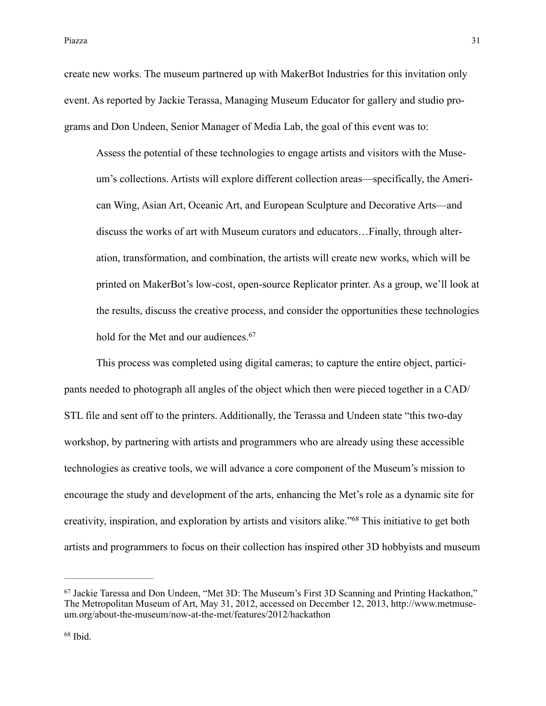Piazza a negotia di statuto di statuto di statuto di statuto di statuto di statuto di statuto di statuto di st

create new works. The museum partnered up with MakerBot Industries for this invitation only event. As reported by Jackie Terassa, Managing Museum Educator for gallery and studio programs and Don Undeen, Senior Manager of Media Lab, the goal of this event was to:

Assess the potential of these technologies to engage artists and visitors with the Museum's collections. Artists will explore different collection areas—specifically, the American Wing, Asian Art, Oceanic Art, and European Sculpture and Decorative Arts—and discuss the works of art with Museum curators and educators…Finally, through alteration, transformation, and combination, the artists will create new works, which will be printed on MakerBot's low-cost, open-source Replicator printer. As a group, we'll look at the results, discuss the creative process, and consider the opportunities these technologies hold for the Met and our audiences.<sup>67</sup>

 This process was completed using digital cameras; to capture the entire object, participants needed to photograph all angles of the object which then were pieced together in a CAD/ STL file and sent off to the printers. Additionally, the Terassa and Undeen state "this two-day workshop, by partnering with artists and programmers who are already using these accessible technologies as creative tools, we will advance a core component of the Museum's mission to encourage the study and development of the arts, enhancing the Met's role as a dynamic site for creativity, inspiration, and exploration by artists and visitors alike."<sup>68</sup> This initiative to get both artists and programmers to focus on their collection has inspired other 3D hobbyists and museum

<sup>&</sup>lt;sup>67</sup> Jackie Taressa and Don Undeen, "Met 3D: The Museum's First 3D Scanning and Printing Hackathon," [The Metropolitan Museum of Art, May 31, 2012, accessed on December 12, 2013, http://www.metmuse](http://www.metmuseum.org/about-the-museum/now-at-the-met/features/2012/hackathon)um.org/about-the-museum/now-at-the-met/features/2012/hackathon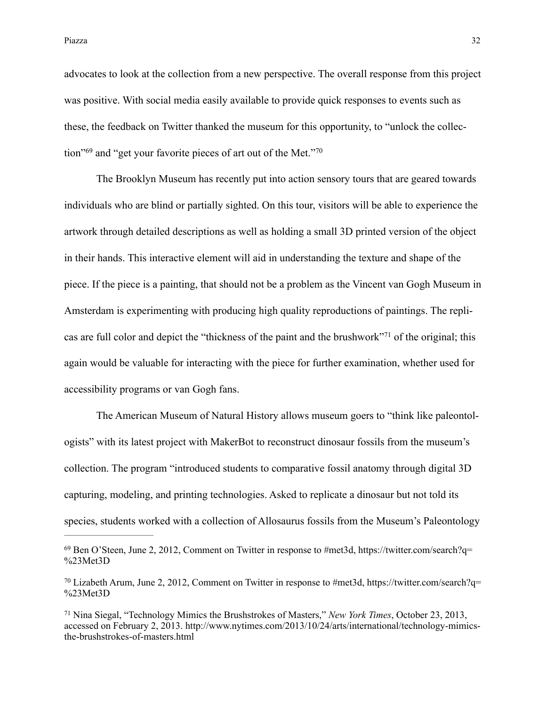advocates to look at the collection from a new perspective. The overall response from this project was positive. With social media easily available to provide quick responses to events such as these, the feedback on Twitter thanked the museum for this opportunity, to "unlock the collection"<sup> $69$ </sup> and "get your favorite pieces of art out of the Met."<sup>70</sup>

 The Brooklyn Museum has recently put into action sensory tours that are geared towards individuals who are blind or partially sighted. On this tour, visitors will be able to experience the artwork through detailed descriptions as well as holding a small 3D printed version of the object in their hands. This interactive element will aid in understanding the texture and shape of the piece. If the piece is a painting, that should not be a problem as the Vincent van Gogh Museum in Amsterdam is experimenting with producing high quality reproductions of paintings. The replicas are full color and depict the "thickness of the paint and the brushwork"<sup>71</sup> of the original; this again would be valuable for interacting with the piece for further examination, whether used for accessibility programs or van Gogh fans.

 The American Museum of Natural History allows museum goers to "think like paleontologists" with its latest project with MakerBot to reconstruct dinosaur fossils from the museum's collection. The program "introduced students to comparative fossil anatomy through digital 3D capturing, modeling, and printing technologies. Asked to replicate a dinosaur but not told its species, students worked with a collection of Allosaurus fossils from the Museum's Paleontology

 $^{69}$  [Ben O'Steen, June 2, 2012, Comment on Twitter in response to #met3d, https://twitter.com/search?q=](https://twitter.com/search?q=%2523Met3D) %23Met3D

[Lizabeth Arum, June 2, 2012, Comment on Twitter in response to #met3d, https://twitter.com/search?q=](https://twitter.com/search?q=%2523Met3D) <sup>70</sup> %23Met3D

<sup>&</sup>lt;sup>71</sup> Nina Siegal, "Technology Mimics the Brushstrokes of Masters," *New York Times*, October 23, 2013, [accessed on February 2, 2013. http://www.nytimes.com/2013/10/24/arts/international/technology-mimics](http://www.nytimes.com/2013/10/24/arts/international/technology-mimics-the-brushstrokes-of-masters.html)the-brushstrokes-of-masters.html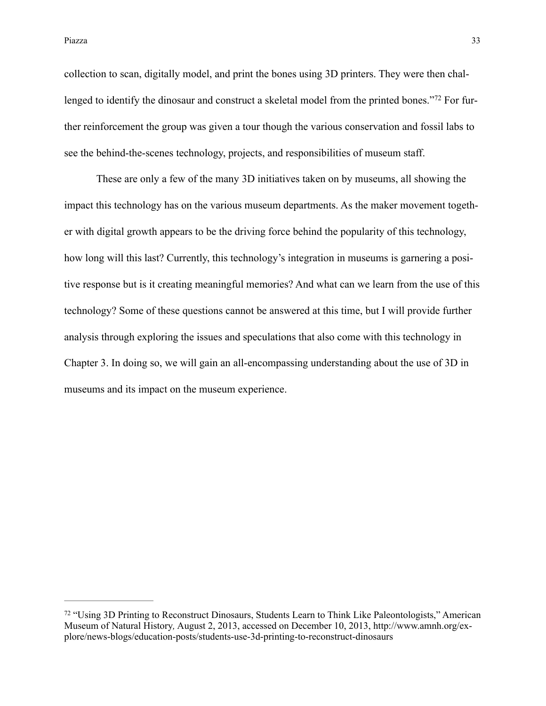Piazza a na matsayar a shekarar 1992. A shekarar 1992 na matsayin na matsayin 1993 na 1993. A shekarar 1993 na

collection to scan, digitally model, and print the bones using 3D printers. They were then challenged to identify the dinosaur and construct a skeletal model from the printed bones."<sup>72</sup> For further reinforcement the group was given a tour though the various conservation and fossil labs to see the behind-the-scenes technology, projects, and responsibilities of museum staff.

 These are only a few of the many 3D initiatives taken on by museums, all showing the impact this technology has on the various museum departments. As the maker movement together with digital growth appears to be the driving force behind the popularity of this technology, how long will this last? Currently, this technology's integration in museums is garnering a positive response but is it creating meaningful memories? And what can we learn from the use of this technology? Some of these questions cannot be answered at this time, but I will provide further analysis through exploring the issues and speculations that also come with this technology in Chapter 3. In doing so, we will gain an all-encompassing understanding about the use of 3D in museums and its impact on the museum experience.

<sup>&</sup>lt;sup>72</sup> "Using 3D Printing to Reconstruct Dinosaurs, Students Learn to Think Like Paleontologists," American Museum of Natural History*,* August 2, 2013, accessed on December 10, 2013, http://www.amnh.org/ex[plore/news-blogs/education-posts/students-use-3d-printing-to-reconstruct-dinosaurs](http://www.amnh.org/explore/news-blogs/education-posts/students-use-3d-printing-to-reconstruct-dinosaurs)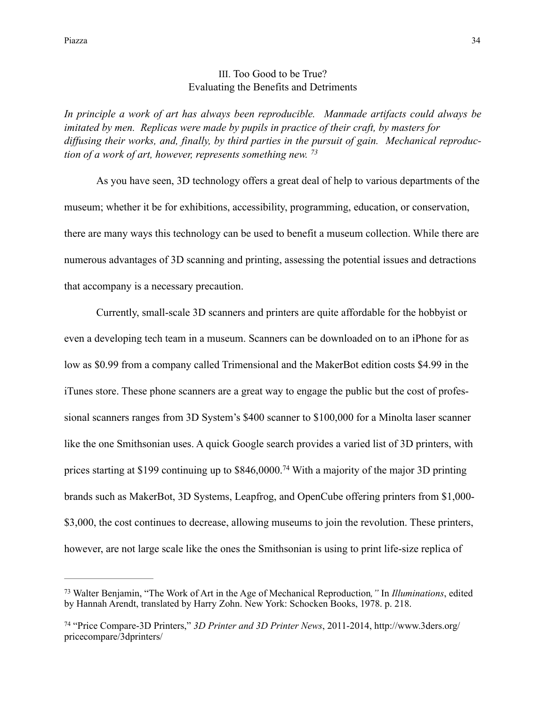## III. Too Good to be True? Evaluating the Benefits and Detriments

*In principle a work of art has always been reproducible. Manmade artifacts could always be imitated by men. Replicas were made by pupils in practice of their craft, by masters for diffusing their works, and, finally, by third parties in the pursuit of gain. Mechanical reproduction of a work of art, however, represents something new. 73*

 As you have seen, 3D technology offers a great deal of help to various departments of the museum; whether it be for exhibitions, accessibility, programming, education, or conservation, there are many ways this technology can be used to benefit a museum collection. While there are numerous advantages of 3D scanning and printing, assessing the potential issues and detractions that accompany is a necessary precaution.

Currently, small-scale 3D scanners and printers are quite affordable for the hobbyist or even a developing tech team in a museum. Scanners can be downloaded on to an iPhone for as low as \$0.99 from a company called Trimensional and the MakerBot edition costs \$4.99 in the iTunes store. These phone scanners are a great way to engage the public but the cost of professional scanners ranges from 3D System's \$400 scanner to \$100,000 for a Minolta laser scanner like the one Smithsonian uses. A quick Google search provides a varied list of 3D printers, with prices starting at \$199 continuing up to  $$846,0000$ .<sup>74</sup> With a majority of the major 3D printing brands such as MakerBot, 3D Systems, Leapfrog, and OpenCube offering printers from \$1,000- \$3,000, the cost continues to decrease, allowing museums to join the revolution. These printers, however, are not large scale like the ones the Smithsonian is using to print life-size replica of

Walter Benjamin, "The Work of Art in the Age of Mechanical Reproduction*,"* In *Illuminations*, edited 73 by Hannah Arendt, translated by Harry Zohn. New York: Schocken Books, 1978. p. 218.

 <sup>&</sup>quot;Price Compare-3D Printers," *3D Printer and 3D Printer News*[, 2011-2014, http://www.3ders.org/](http://www.3ders.org/pricecompare/3dprinters/) <sup>74</sup> pricecompare/3dprinters/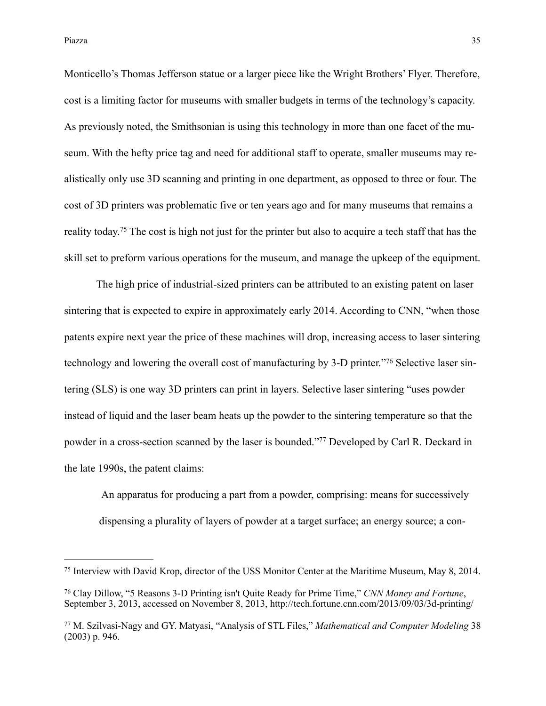Monticello's Thomas Jefferson statue or a larger piece like the Wright Brothers' Flyer. Therefore, cost is a limiting factor for museums with smaller budgets in terms of the technology's capacity. As previously noted, the Smithsonian is using this technology in more than one facet of the museum. With the hefty price tag and need for additional staff to operate, smaller museums may realistically only use 3D scanning and printing in one department, as opposed to three or four. The cost of 3D printers was problematic five or ten years ago and for many museums that remains a reality today.<sup>75</sup> The cost is high not just for the printer but also to acquire a tech staff that has the skill set to preform various operations for the museum, and manage the upkeep of the equipment.

 The high price of industrial-sized printers can be attributed to an existing patent on laser sintering that is expected to expire in approximately early 2014. According to CNN, "when those patents expire next year the price of these machines will drop, increasing access to laser sintering technology and lowering the overall cost of manufacturing by 3-D printer."<sup>76</sup> Selective laser sintering (SLS) is one way 3D printers can print in layers. Selective laser sintering "uses powder instead of liquid and the laser beam heats up the powder to the sintering temperature so that the powder in a cross-section scanned by the laser is bounded."<sup>77</sup> Developed by Carl R. Deckard in the late 1990s, the patent claims:

 An apparatus for producing a part from a powder, comprising: means for successively dispensing a plurality of layers of powder at a target surface; an energy source; a con-

<sup>75</sup> Interview with David Krop, director of the USS Monitor Center at the Maritime Museum, May 8, 2014.

Clay Dillow, "5 Reasons 3-D Printing isn't Quite Ready for Prime Time," *CNN Money and Fortune*, 76 September 3, 2013, accessed on November 8, 2013, <http://tech.fortune.cnn.com/2013/09/03/3d-printing/>

M. Szilvasi-Nagy and GY. Matyasi, "Analysis of STL Files," *Mathematical and Computer Modeling* 38 77 (2003) p. 946.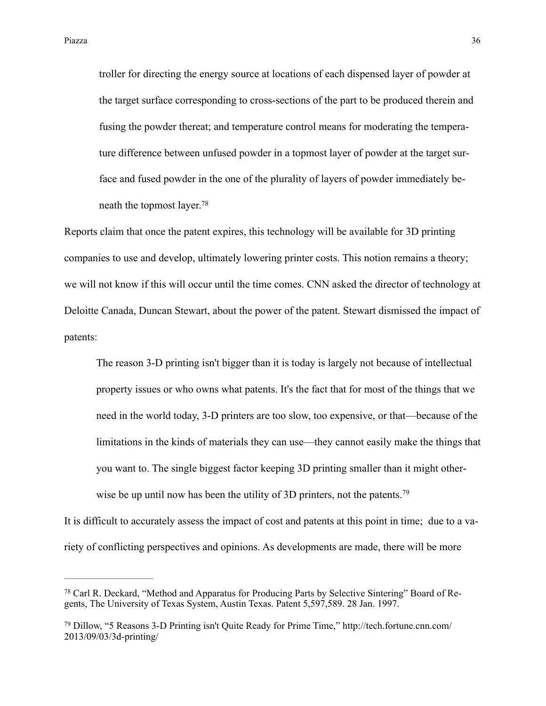troller for directing the energy source at locations of each dispensed layer of powder at the target surface corresponding to cross-sections of the part to be produced therein and fusing the powder thereat; and temperature control means for moderating the temperature difference between unfused powder in a topmost layer of powder at the target surface and fused powder in the one of the plurality of layers of powder immediately beneath the topmost layer.78

Reports claim that once the patent expires, this technology will be available for 3D printing companies to use and develop, ultimately lowering printer costs. This notion remains a theory; we will not know if this will occur until the time comes. CNN asked the director of technology at Deloitte Canada, Duncan Stewart, about the power of the patent. Stewart dismissed the impact of patents:

The reason 3-D printing isn't bigger than it is today is largely not because of intellectual property issues or who owns what patents. It's the fact that for most of the things that we need in the world today, 3-D printers are too slow, too expensive, or that—because of the limitations in the kinds of materials they can use—they cannot easily make the things that you want to. The single biggest factor keeping 3D printing smaller than it might otherwise be up until now has been the utility of 3D printers, not the patents.<sup>79</sup>

It is difficult to accurately assess the impact of cost and patents at this point in time; due to a variety of conflicting perspectives and opinions. As developments are made, there will be more

<sup>&</sup>lt;sup>78</sup> Carl R. Deckard, "Method and Apparatus for Producing Parts by Selective Sintering" Board of Regents, The University of Texas System, Austin Texas. Patent 5,597,589. 28 Jan. 1997.

[Dillow, "5 Reasons 3-D Printing isn't Quite Ready for Prime Time," http://tech.fortune.cnn.com/](http://tech.fortune.cnn.com/2013/09/03/3d-printing/) <sup>79</sup> 2013/09/03/3d-printing/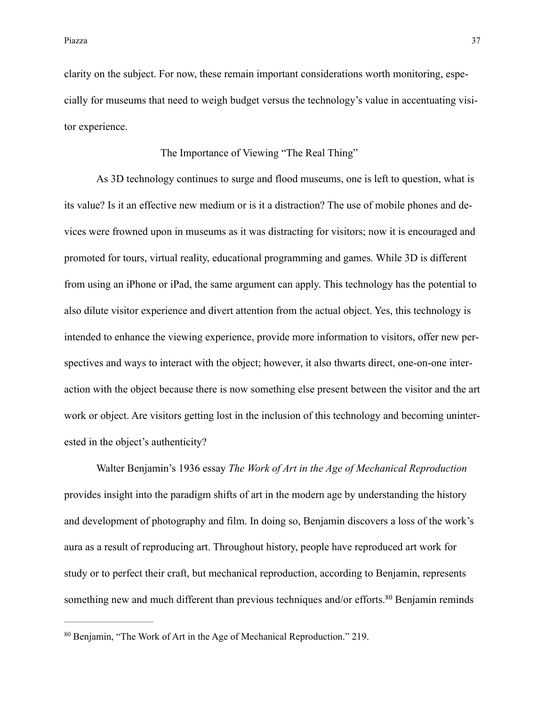clarity on the subject. For now, these remain important considerations worth monitoring, especially for museums that need to weigh budget versus the technology's value in accentuating visitor experience.

#### The Importance of Viewing "The Real Thing"

 As 3D technology continues to surge and flood museums, one is left to question, what is its value? Is it an effective new medium or is it a distraction? The use of mobile phones and devices were frowned upon in museums as it was distracting for visitors; now it is encouraged and promoted for tours, virtual reality, educational programming and games. While 3D is different from using an iPhone or iPad, the same argument can apply. This technology has the potential to also dilute visitor experience and divert attention from the actual object. Yes, this technology is intended to enhance the viewing experience, provide more information to visitors, offer new perspectives and ways to interact with the object; however, it also thwarts direct, one-on-one interaction with the object because there is now something else present between the visitor and the art work or object. Are visitors getting lost in the inclusion of this technology and becoming uninterested in the object's authenticity?

 Walter Benjamin's 1936 essay *The Work of Art in the Age of Mechanical Reproduction*  provides insight into the paradigm shifts of art in the modern age by understanding the history and development of photography and film. In doing so, Benjamin discovers a loss of the work's aura as a result of reproducing art. Throughout history, people have reproduced art work for study or to perfect their craft, but mechanical reproduction, according to Benjamin, represents something new and much different than previous techniques and/or efforts.<sup>80</sup> Benjamin reminds

<sup>&</sup>lt;sup>80</sup> Benjamin, "The Work of Art in the Age of Mechanical Reproduction." 219.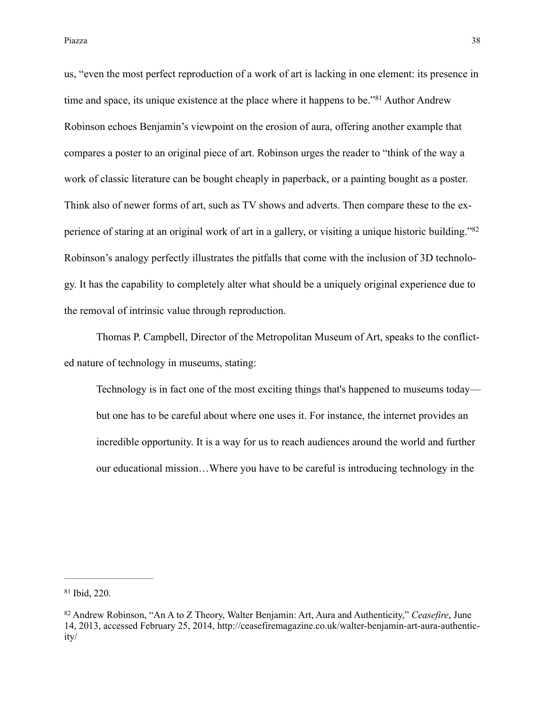us, "even the most perfect reproduction of a work of art is lacking in one element: its presence in time and space, its unique existence at the place where it happens to be.<sup>381</sup> Author Andrew Robinson echoes Benjamin's viewpoint on the erosion of aura, offering another example that compares a poster to an original piece of art. Robinson urges the reader to "think of the way a work of classic literature can be bought cheaply in paperback, or a painting bought as a poster. Think also of newer forms of art, such as TV shows and adverts. Then compare these to the experience of staring at an original work of art in a gallery, or visiting a unique historic building."82 Robinson's analogy perfectly illustrates the pitfalls that come with the inclusion of 3D technology. It has the capability to completely alter what should be a uniquely original experience due to the removal of intrinsic value through reproduction.

 Thomas P. Campbell, Director of the Metropolitan Museum of Art, speaks to the conflicted nature of technology in museums, stating:

Technology is in fact one of the most exciting things that's happened to museums today but one has to be careful about where one uses it. For instance, the internet provides an incredible opportunity. It is a way for us to reach audiences around the world and further our educational mission…Where you have to be careful is introducing technology in the

 $81$  Ibid, 220.

<sup>&</sup>lt;sup>82</sup> Andrew Robinson, "An A to Z Theory, Walter Benjamin: Art, Aura and Authenticity," *Ceasefire*, June [14, 2013, accessed February 25, 2014, http://ceasefiremagazine.co.uk/walter-benjamin-art-aura-authentic](http://ceasefiremagazine.co.uk/walter-benjamin-art-aura-authenticity/)ity/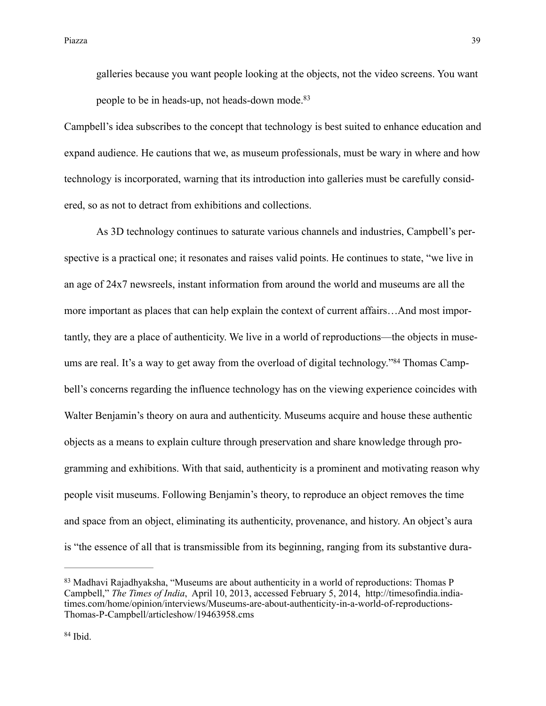Piazza a na matsayar a shekarar 1992. A shekarar 1992 na matsayin na matsayin na matsayin na 1992. A shekarar

galleries because you want people looking at the objects, not the video screens. You want people to be in heads-up, not heads-down mode.<sup>83</sup>

Campbell's idea subscribes to the concept that technology is best suited to enhance education and expand audience. He cautions that we, as museum professionals, must be wary in where and how technology is incorporated, warning that its introduction into galleries must be carefully considered, so as not to detract from exhibitions and collections.

 As 3D technology continues to saturate various channels and industries, Campbell's perspective is a practical one; it resonates and raises valid points. He continues to state, "we live in an age of 24x7 newsreels, instant information from around the world and museums are all the more important as places that can help explain the context of current affairs…And most importantly, they are a place of authenticity. We live in a world of reproductions—the objects in museums are real. It's a way to get away from the overload of digital technology."<sup>84</sup> Thomas Campbell's concerns regarding the influence technology has on the viewing experience coincides with Walter Benjamin's theory on aura and authenticity. Museums acquire and house these authentic objects as a means to explain culture through preservation and share knowledge through programming and exhibitions. With that said, authenticity is a prominent and motivating reason why people visit museums. Following Benjamin's theory, to reproduce an object removes the time and space from an object, eliminating its authenticity, provenance, and history. An object's aura is "the essence of all that is transmissible from its beginning, ranging from its substantive dura-

<sup>83</sup> Madhavi Rajadhyaksha, "Museums are about authenticity in a world of reproductions: Thomas P Campbell," *The Times of India*, April 10, 2013, accessed February 5, 2014, http://timesofindia.india[times.com/home/opinion/interviews/Museums-are-about-authenticity-in-a-world-of-reproductions-](http://timesofindia.indiatimes.com/home/opinion/interviews/Museums-are-about-authenticity-in-a-world-of-reproductions-Thomas-P-Campbell/articleshow/19463958.cms)Thomas-P-Campbell/articleshow/19463958.cms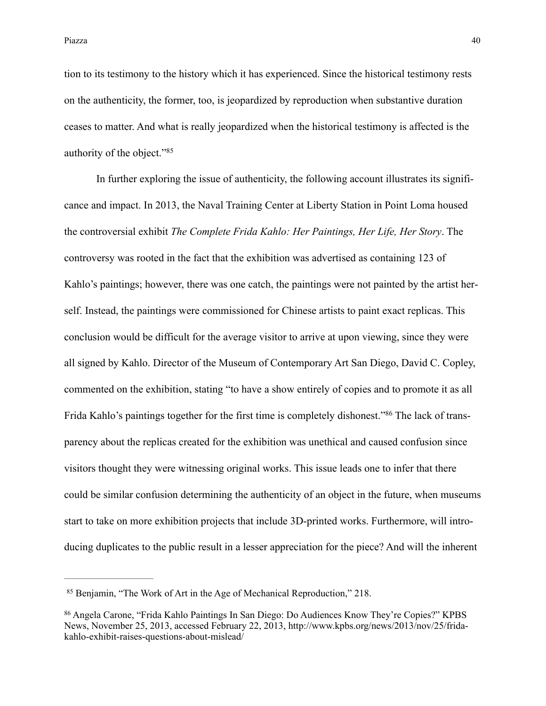Piazza a termina di Afrika di Senato di Senato di Senato di Senato di Senato di Senato di Senato di Senato di S

tion to its testimony to the history which it has experienced. Since the historical testimony rests on the authenticity, the former, too, is jeopardized by reproduction when substantive duration ceases to matter. And what is really jeopardized when the historical testimony is affected is the authority of the object."85

 In further exploring the issue of authenticity, the following account illustrates its significance and impact. In 2013, the Naval Training Center at Liberty Station in Point Loma housed the controversial exhibit *The Complete Frida Kahlo: Her Paintings, Her Life, Her Story*. The controversy was rooted in the fact that the exhibition was advertised as containing 123 of Kahlo's paintings; however, there was one catch, the paintings were not painted by the artist herself. Instead, the paintings were commissioned for Chinese artists to paint exact replicas. This conclusion would be difficult for the average visitor to arrive at upon viewing, since they were all signed by Kahlo. Director of the Museum of Contemporary Art San Diego, David C. Copley, commented on the exhibition, stating "to have a show entirely of copies and to promote it as all Frida Kahlo's paintings together for the first time is completely dishonest."<sup>86</sup> The lack of transparency about the replicas created for the exhibition was unethical and caused confusion since visitors thought they were witnessing original works. This issue leads one to infer that there could be similar confusion determining the authenticity of an object in the future, when museums start to take on more exhibition projects that include 3D-printed works. Furthermore, will introducing duplicates to the public result in a lesser appreciation for the piece? And will the inherent

<sup>&</sup>lt;sup>85</sup> Benjamin, "The Work of Art in the Age of Mechanical Reproduction," 218.

<sup>&</sup>lt;sup>86</sup> Angela Carone, "Frida Kahlo Paintings In San Diego: Do Audiences Know They're Copies?" KPBS [News, November 25, 2013, accessed February 22, 2013, http://www.kpbs.org/news/2013/nov/25/frida](http://www.kpbs.org/news/2013/nov/25/frida-kahlo-exhibit-raises-questions-about-mislead/)kahlo-exhibit-raises-questions-about-mislead/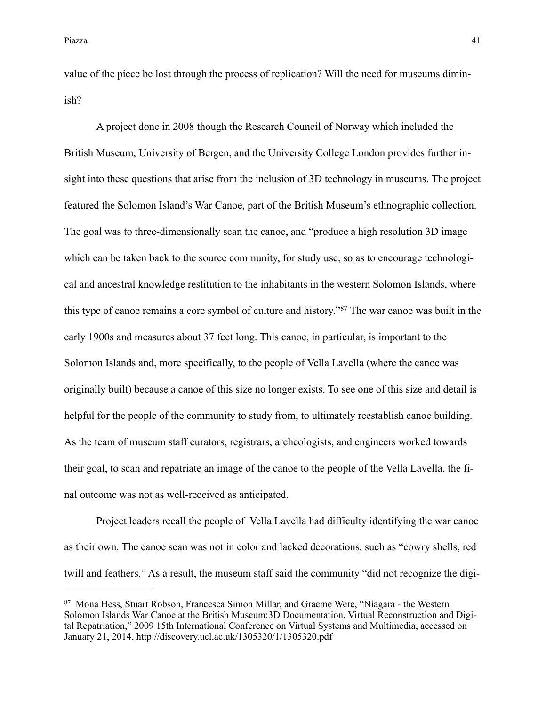value of the piece be lost through the process of replication? Will the need for museums diminish?

 A project done in 2008 though the Research Council of Norway which included the British Museum, University of Bergen, and the University College London provides further insight into these questions that arise from the inclusion of 3D technology in museums. The project featured the Solomon Island's War Canoe, part of the British Museum's ethnographic collection. The goal was to three-dimensionally scan the canoe, and "produce a high resolution 3D image which can be taken back to the source community, for study use, so as to encourage technological and ancestral knowledge restitution to the inhabitants in the western Solomon Islands, where this type of canoe remains a core symbol of culture and history."<sup>87</sup> The war canoe was built in the early 1900s and measures about 37 feet long. This canoe, in particular, is important to the Solomon Islands and, more specifically, to the people of Vella Lavella (where the canoe was originally built) because a canoe of this size no longer exists. To see one of this size and detail is helpful for the people of the community to study from, to ultimately reestablish canoe building. As the team of museum staff curators, registrars, archeologists, and engineers worked towards their goal, to scan and repatriate an image of the canoe to the people of the Vella Lavella, the final outcome was not as well-received as anticipated.

 Project leaders recall the people of Vella Lavella had difficulty identifying the war canoe as their own. The canoe scan was not in color and lacked decorations, such as "cowry shells, red twill and feathers." As a result, the museum staff said the community "did not recognize the digi-

<sup>&</sup>lt;sup>87</sup> Mona Hess, Stuart Robson, Francesca Simon Millar, and Graeme Were, "Niagara - the Western Solomon Islands War Canoe at the British Museum:3D Documentation, Virtual Reconstruction and Digital Repatriation," 2009 15th International Conference on Virtual Systems and Multimedia, accessed on January 21, 2014, <http://discovery.ucl.ac.uk/1305320/1/1305320.pdf>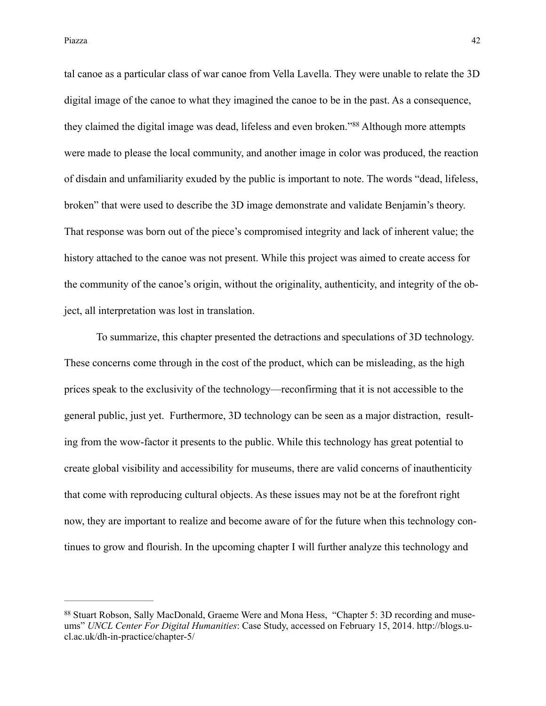tal canoe as a particular class of war canoe from Vella Lavella. They were unable to relate the 3D digital image of the canoe to what they imagined the canoe to be in the past. As a consequence, they claimed the digital image was dead, lifeless and even broken."<sup>88</sup> Although more attempts were made to please the local community, and another image in color was produced, the reaction of disdain and unfamiliarity exuded by the public is important to note. The words "dead, lifeless, broken" that were used to describe the 3D image demonstrate and validate Benjamin's theory. That response was born out of the piece's compromised integrity and lack of inherent value; the history attached to the canoe was not present. While this project was aimed to create access for the community of the canoe's origin, without the originality, authenticity, and integrity of the object, all interpretation was lost in translation.

 To summarize, this chapter presented the detractions and speculations of 3D technology. These concerns come through in the cost of the product, which can be misleading, as the high prices speak to the exclusivity of the technology—reconfirming that it is not accessible to the general public, just yet. Furthermore, 3D technology can be seen as a major distraction, resulting from the wow-factor it presents to the public. While this technology has great potential to create global visibility and accessibility for museums, there are valid concerns of inauthenticity that come with reproducing cultural objects. As these issues may not be at the forefront right now, they are important to realize and become aware of for the future when this technology continues to grow and flourish. In the upcoming chapter I will further analyze this technology and

<sup>88</sup> Stuart Robson, Sally MacDonald, Graeme Were and Mona Hess, "Chapter 5: 3D recording and museums" *UNCL Center For Digital Humanities*[: Case Study, accessed on February 15, 2014. http://blogs.u](http://blogs.ucl.ac.uk/dh-in-practice/chapter-5/)cl.ac.uk/dh-in-practice/chapter-5/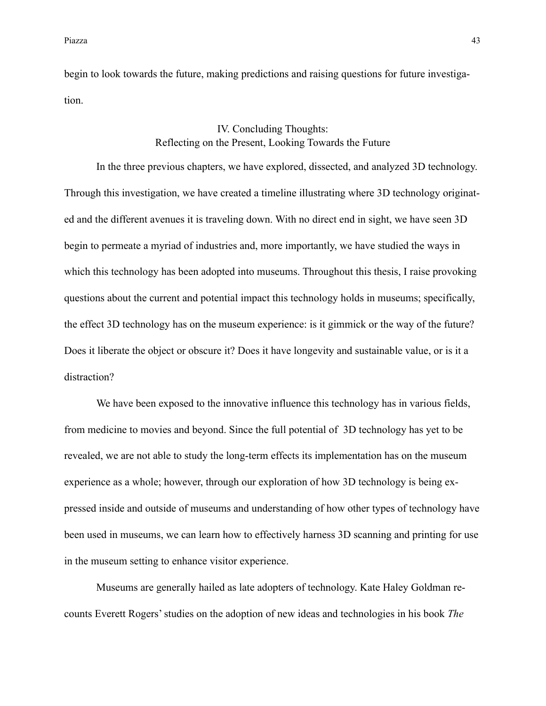begin to look towards the future, making predictions and raising questions for future investigation.

## IV. Concluding Thoughts: Reflecting on the Present, Looking Towards the Future

In the three previous chapters, we have explored, dissected, and analyzed 3D technology. Through this investigation, we have created a timeline illustrating where 3D technology originated and the different avenues it is traveling down. With no direct end in sight, we have seen 3D begin to permeate a myriad of industries and, more importantly, we have studied the ways in which this technology has been adopted into museums. Throughout this thesis, I raise provoking questions about the current and potential impact this technology holds in museums; specifically, the effect 3D technology has on the museum experience: is it gimmick or the way of the future? Does it liberate the object or obscure it? Does it have longevity and sustainable value, or is it a distraction?

We have been exposed to the innovative influence this technology has in various fields, from medicine to movies and beyond. Since the full potential of 3D technology has yet to be revealed, we are not able to study the long-term effects its implementation has on the museum experience as a whole; however, through our exploration of how 3D technology is being expressed inside and outside of museums and understanding of how other types of technology have been used in museums, we can learn how to effectively harness 3D scanning and printing for use in the museum setting to enhance visitor experience.

 Museums are generally hailed as late adopters of technology. Kate Haley Goldman recounts Everett Rogers' studies on the adoption of new ideas and technologies in his book *The*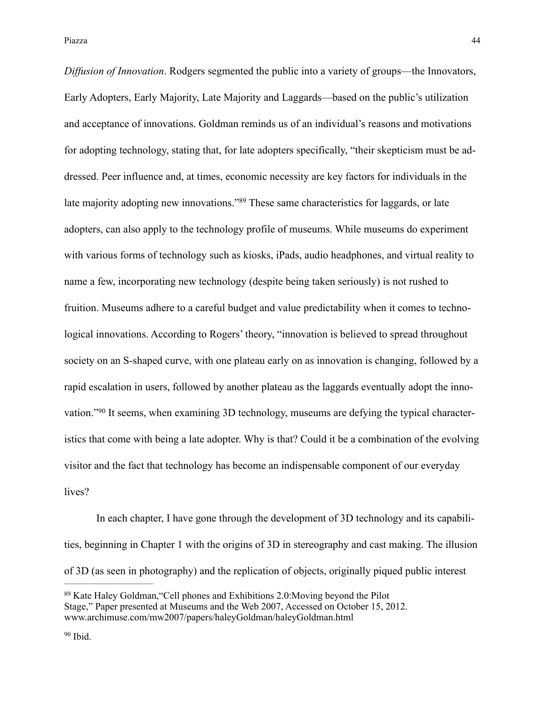*Diffusion of Innovation*. Rodgers segmented the public into a variety of groups—the Innovators, Early Adopters, Early Majority, Late Majority and Laggards—based on the public's utilization and acceptance of innovations. Goldman reminds us of an individual's reasons and motivations for adopting technology, stating that, for late adopters specifically, "their skepticism must be addressed. Peer influence and, at times, economic necessity are key factors for individuals in the late majority adopting new innovations."<sup>89</sup> These same characteristics for laggards, or late adopters, can also apply to the technology profile of museums. While museums do experiment with various forms of technology such as kiosks, iPads, audio headphones, and virtual reality to name a few, incorporating new technology (despite being taken seriously) is not rushed to fruition. Museums adhere to a careful budget and value predictability when it comes to technological innovations. According to Rogers' theory, "innovation is believed to spread throughout society on an S-shaped curve, with one plateau early on as innovation is changing, followed by a rapid escalation in users, followed by another plateau as the laggards eventually adopt the innovation."  $90$  It seems, when examining 3D technology, museums are defying the typical characteristics that come with being a late adopter. Why is that? Could it be a combination of the evolving visitor and the fact that technology has become an indispensable component of our everyday lives?

 In each chapter, I have gone through the development of 3D technology and its capabilities, beginning in Chapter 1 with the origins of 3D in stereography and cast making. The illusion of 3D (as seen in photography) and the replication of objects, originally piqued public interest

<sup>&</sup>lt;sup>89</sup> Kate Haley Goldman, "Cell phones and Exhibitions 2.0: Moving beyond the Pilot Stage," Paper presented at Museums and the Web 2007, Accessed on October 15, 2012. [www.archimuse.com/mw2007/papers/haleyGoldman/haleyGoldman.html](http://www.archimuse.com/mw2007/papers/haleyGoldman/haleyGoldman.html)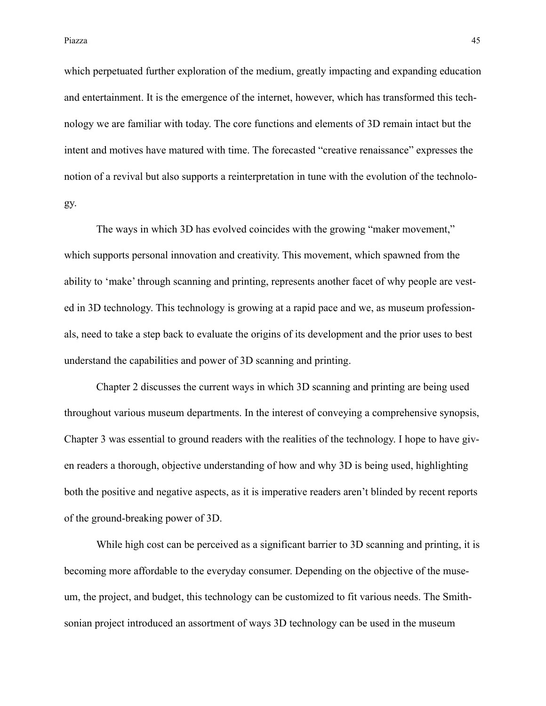which perpetuated further exploration of the medium, greatly impacting and expanding education and entertainment. It is the emergence of the internet, however, which has transformed this technology we are familiar with today. The core functions and elements of 3D remain intact but the intent and motives have matured with time. The forecasted "creative renaissance" expresses the notion of a revival but also supports a reinterpretation in tune with the evolution of the technology.

 The ways in which 3D has evolved coincides with the growing "maker movement," which supports personal innovation and creativity. This movement, which spawned from the ability to 'make' through scanning and printing, represents another facet of why people are vested in 3D technology. This technology is growing at a rapid pace and we, as museum professionals, need to take a step back to evaluate the origins of its development and the prior uses to best understand the capabilities and power of 3D scanning and printing.

 Chapter 2 discusses the current ways in which 3D scanning and printing are being used throughout various museum departments. In the interest of conveying a comprehensive synopsis, Chapter 3 was essential to ground readers with the realities of the technology. I hope to have given readers a thorough, objective understanding of how and why 3D is being used, highlighting both the positive and negative aspects, as it is imperative readers aren't blinded by recent reports of the ground-breaking power of 3D.

 While high cost can be perceived as a significant barrier to 3D scanning and printing, it is becoming more affordable to the everyday consumer. Depending on the objective of the museum, the project, and budget, this technology can be customized to fit various needs. The Smithsonian project introduced an assortment of ways 3D technology can be used in the museum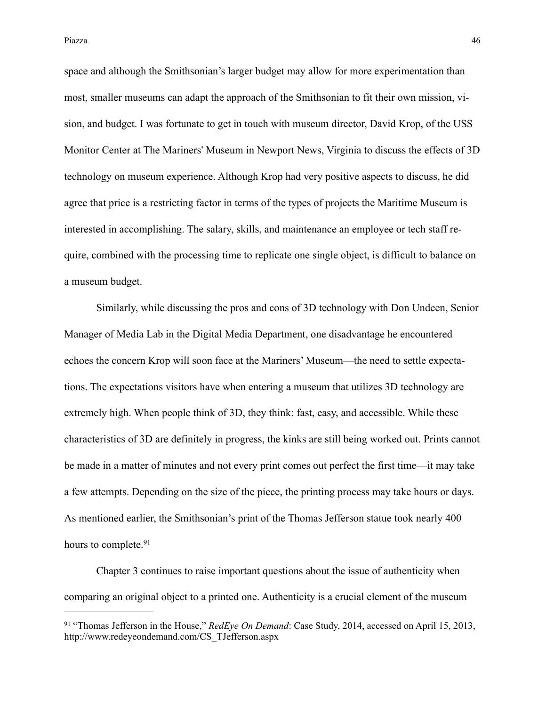Piazza a termina di Afrika di Senato di Senato di Senato di Senato di Senato di Senato di Senato di Senato di S

space and although the Smithsonian's larger budget may allow for more experimentation than most, smaller museums can adapt the approach of the Smithsonian to fit their own mission, vision, and budget. I was fortunate to get in touch with museum director, David Krop, of the USS Monitor Center at The Mariners' Museum in Newport News, Virginia to discuss the effects of 3D technology on museum experience. Although Krop had very positive aspects to discuss, he did agree that price is a restricting factor in terms of the types of projects the Maritime Museum is interested in accomplishing. The salary, skills, and maintenance an employee or tech staff require, combined with the processing time to replicate one single object, is difficult to balance on a museum budget.

 Similarly, while discussing the pros and cons of 3D technology with Don Undeen, Senior Manager of Media Lab in the Digital Media Department, one disadvantage he encountered echoes the concern Krop will soon face at the Mariners' Museum—the need to settle expectations. The expectations visitors have when entering a museum that utilizes 3D technology are extremely high. When people think of 3D, they think: fast, easy, and accessible. While these characteristics of 3D are definitely in progress, the kinks are still being worked out. Prints cannot be made in a matter of minutes and not every print comes out perfect the first time—it may take a few attempts. Depending on the size of the piece, the printing process may take hours or days. As mentioned earlier, the Smithsonian's print of the Thomas Jefferson statue took nearly 400 hours to complete.<sup>91</sup>

 Chapter 3 continues to raise important questions about the issue of authenticity when comparing an original object to a printed one. Authenticity is a crucial element of the museum

<sup>&</sup>lt;sup>91</sup> "Thomas Jefferson in the House," *RedEye On Demand*: Case Study, 2014, accessed on April 15, 2013, [http://www.redeyeondemand.com/CS\\_TJefferson.aspx](http://www.redeyeondemand.com/CS_TJefferson.aspx)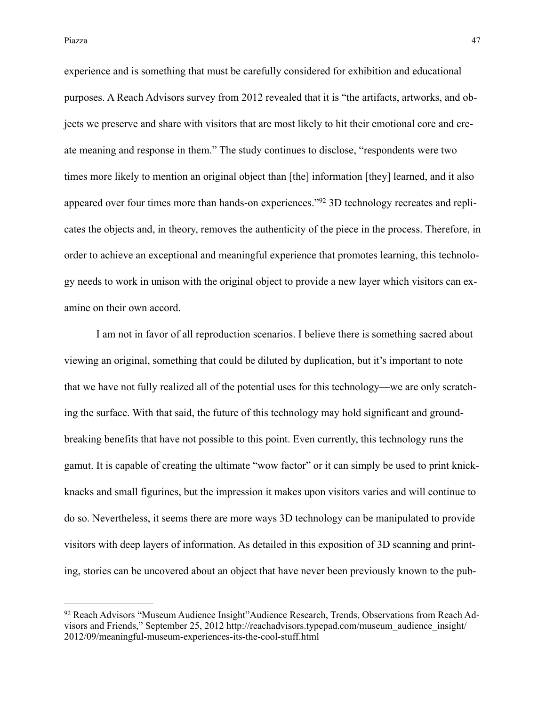Piazza a termina di Afrika di Senato di Senato di Senato di Senato di Senato di Senato di Afrika di Afrika di S

experience and is something that must be carefully considered for exhibition and educational purposes. A Reach Advisors survey from 2012 revealed that it is "the artifacts, artworks, and objects we preserve and share with visitors that are most likely to hit their emotional core and create meaning and response in them." The study continues to disclose, "respondents were two times more likely to mention an original object than [the] information [they] learned, and it also appeared over four times more than hands-on experiences."<sup>92</sup> 3D technology recreates and replicates the objects and, in theory, removes the authenticity of the piece in the process. Therefore, in order to achieve an exceptional and meaningful experience that promotes learning, this technology needs to work in unison with the original object to provide a new layer which visitors can examine on their own accord.

 I am not in favor of all reproduction scenarios. I believe there is something sacred about viewing an original, something that could be diluted by duplication, but it's important to note that we have not fully realized all of the potential uses for this technology—we are only scratching the surface. With that said, the future of this technology may hold significant and groundbreaking benefits that have not possible to this point. Even currently, this technology runs the gamut. It is capable of creating the ultimate "wow factor" or it can simply be used to print knickknacks and small figurines, but the impression it makes upon visitors varies and will continue to do so. Nevertheless, it seems there are more ways 3D technology can be manipulated to provide visitors with deep layers of information. As detailed in this exposition of 3D scanning and printing, stories can be uncovered about an object that have never been previously known to the pub-

<sup>&</sup>lt;sup>92</sup> Reach Advisors "Museum Audience Insight"Audience Research, Trends, Observations from Reach Ad[visors and Friends," September 25, 2012 http://reachadvisors.typepad.com/museum\\_audience\\_insight/](http://reachadvisors.typepad.com/museum_audience_insight/2012/09/meaningful-museum-experiences-its-the-cool-stuff.html) 2012/09/meaningful-museum-experiences-its-the-cool-stuff.html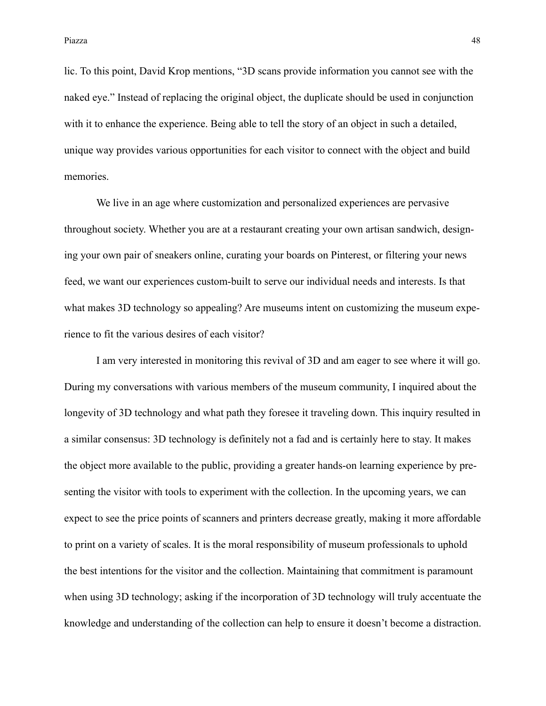lic. To this point, David Krop mentions, "3D scans provide information you cannot see with the naked eye." Instead of replacing the original object, the duplicate should be used in conjunction with it to enhance the experience. Being able to tell the story of an object in such a detailed, unique way provides various opportunities for each visitor to connect with the object and build memories.

We live in an age where customization and personalized experiences are pervasive throughout society. Whether you are at a restaurant creating your own artisan sandwich, designing your own pair of sneakers online, curating your boards on Pinterest, or filtering your news feed, we want our experiences custom-built to serve our individual needs and interests. Is that what makes 3D technology so appealing? Are museums intent on customizing the museum experience to fit the various desires of each visitor?

 I am very interested in monitoring this revival of 3D and am eager to see where it will go. During my conversations with various members of the museum community, I inquired about the longevity of 3D technology and what path they foresee it traveling down. This inquiry resulted in a similar consensus: 3D technology is definitely not a fad and is certainly here to stay. It makes the object more available to the public, providing a greater hands-on learning experience by presenting the visitor with tools to experiment with the collection. In the upcoming years, we can expect to see the price points of scanners and printers decrease greatly, making it more affordable to print on a variety of scales. It is the moral responsibility of museum professionals to uphold the best intentions for the visitor and the collection. Maintaining that commitment is paramount when using 3D technology; asking if the incorporation of 3D technology will truly accentuate the knowledge and understanding of the collection can help to ensure it doesn't become a distraction.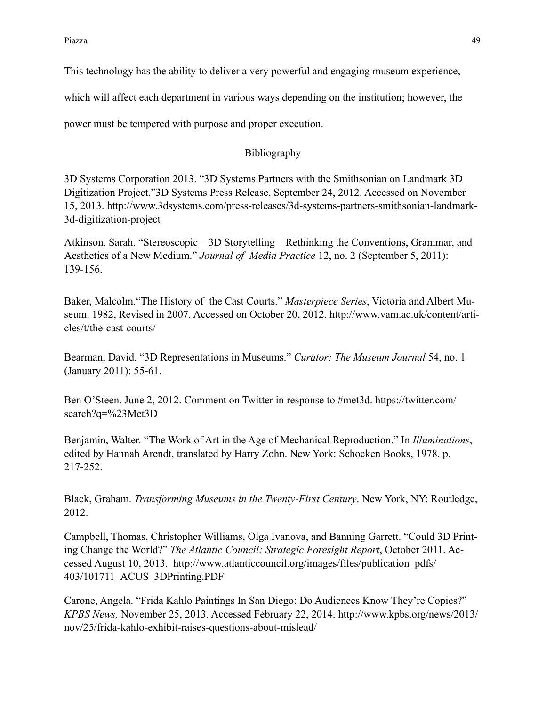This technology has the ability to deliver a very powerful and engaging museum experience,

which will affect each department in various ways depending on the institution; however, the

power must be tempered with purpose and proper execution.

## Bibliography

3D Systems Corporation 2013. "3D Systems Partners with the Smithsonian on Landmark 3D Digitization Project."3D Systems Press Release, September 24, 2012. Accessed on November [15, 2013. http://www.3dsystems.com/press-releases/3d-systems-partners-smithsonian-landmark-](http://www.3dsystems.com/press-releases/3d-systems-partners-smithsonian-landmark-3d-digitization-project)3d-digitization-project

Atkinson, Sarah. "Stereoscopic—3D Storytelling—Rethinking the Conventions, Grammar, and Aesthetics of a New Medium." *Journal of Media Practice* 12, no. 2 (September 5, 2011): 139-156.

Baker, Malcolm."The History of the Cast Courts." *Masterpiece Series*, Victoria and Albert Mu[seum. 1982, Revised in 2007. Accessed on October 20, 2012. http://www.vam.ac.uk/content/arti](http://www.vam.ac.uk/content/articles/t/the-cast-courts/)cles/t/the-cast-courts/

Bearman, David. "3D Representations in Museums." *Curator: The Museum Journal* 54, no. 1 (January 2011): 55-61.

[Ben O'Steen. June 2, 2012. Comment on Twitter in response to #met3d. https://twitter.com/](https://twitter.com/search?q=%2523Met3D) search?q=%23Met3D

Benjamin, Walter. "The Work of Art in the Age of Mechanical Reproduction." In *Illuminations*, edited by Hannah Arendt, translated by Harry Zohn. New York: Schocken Books, 1978. p. 217-252.

Black, Graham. *Transforming Museums in the Twenty-First Century*. New York, NY: Routledge, 2012.

Campbell, Thomas, Christopher Williams, Olga Ivanova, and Banning Garrett. "Could 3D Printing Change the World?" *The Atlantic Council: Strategic Foresight Report*, October 2011. Ac[cessed August 10, 2013. http://www.atlanticcouncil.org/images/files/publication\\_pdfs/](http://www.atlanticcouncil.org/images/files/publication_pdfs/403/101711_ACUS_3DPrinting.PDF) 403/101711\_ACUS\_3DPrinting.PDF

Carone, Angela. "Frida Kahlo Paintings In San Diego: Do Audiences Know They're Copies?" *KPBS News,* [November 25, 2013. Accessed February 22, 2014. http://www.kpbs.org/news/2013/](http://www.kpbs.org/news/2013/nov/25/frida-kahlo-exhibit-raises-questions-about-mislead/) nov/25/frida-kahlo-exhibit-raises-questions-about-mislead/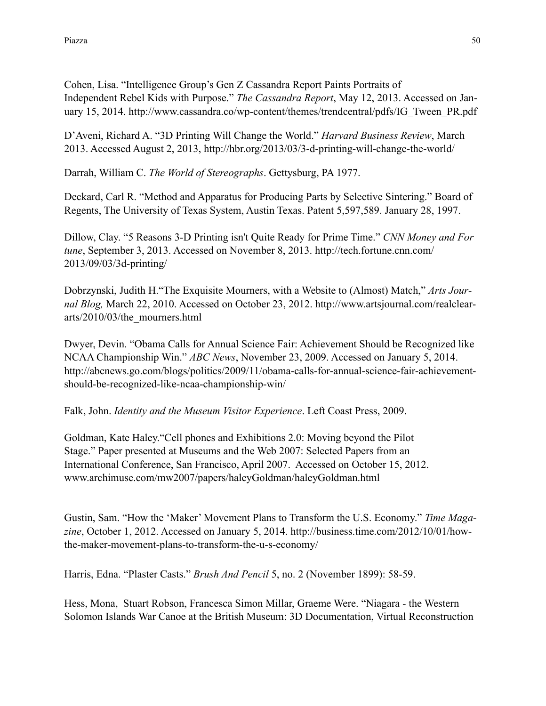Cohen, Lisa. "Intelligence Group's Gen Z Cassandra Report Paints Portraits of Independent Rebel Kids with Purpose." *The Cassandra Report*, May 12, 2013. Accessed on January 15, 2014. [http://www.cassandra.co/wp-content/themes/trendcentral/pdfs/IG\\_Tween\\_PR.pdf](http://www.cassandra.co/wp-content/themes/trendcentral/pdfs/IG_Tween_PR.pdf)

D'Aveni, Richard A. "3D Printing Will Change the World." *Harvard Business Review*, March 2013. Accessed August 2, 2013, <http://hbr.org/2013/03/3-d-printing-will-change-the-world/>

Darrah, William C. *The World of Stereographs*. Gettysburg, PA 1977.

Deckard, Carl R. "Method and Apparatus for Producing Parts by Selective Sintering." Board of Regents, The University of Texas System, Austin Texas. Patent 5,597,589. January 28, 1997.

Dillow, Clay. "5 Reasons 3-D Printing isn't Quite Ready for Prime Time." *CNN Money and For tune*[, September 3, 2013. Accessed on November 8, 2013. http://tech.fortune.cnn.com/](http://tech.fortune.cnn.com/2013/09/03/3d-printing/) 2013/09/03/3d-printing/

Dobrzynski, Judith H."The Exquisite Mourners, with a Website to (Almost) Match," *Arts Journal Blog,* March 22, 2010. Accessed on October 23, 2012. http://www.artsjournal.com/realcleararts/2010/03/the\_mourners.html

Dwyer, Devin. "Obama Calls for Annual Science Fair: Achievement Should be Recognized like NCAA Championship Win." *ABC News*, November 23, 2009. Accessed on January 5, 2014. [http://abcnews.go.com/blogs/politics/2009/11/obama-calls-for-annual-science-fair-achievement](http://abcnews.go.com/blogs/politics/2009/11/obama-calls-for-annual-science-fair-achievement-should-be-recognized-like-ncaa-championship-win/)should-be-recognized-like-ncaa-championship-win/

Falk, John. *Identity and the Museum Visitor Experience*. Left Coast Press, 2009.

Goldman, Kate Haley."Cell phones and Exhibitions 2.0: Moving beyond the Pilot Stage." Paper presented at Museums and the Web 2007: Selected Papers from an International Conference, San Francisco, April 2007. Accessed on October 15, 2012. www.archimuse.com/mw2007/papers/haleyGoldman/haleyGoldman.html

Gustin, Sam. "How the 'Maker' Movement Plans to Transform the U.S. Economy." *Time Magazine*[, October 1, 2012. Accessed on January 5, 2014. http://business.time.com/2012/10/01/how](http://business.time.com/2012/10/01/how-the-maker-movement-plans-to-transform-the-u-s-economy/)the-maker-movement-plans-to-transform-the-u-s-economy/

Harris, Edna. "Plaster Casts." *Brush And Pencil* 5, no. 2 (November 1899): 58-59.

Hess, Mona, Stuart Robson, Francesca Simon Millar, Graeme Were. "Niagara - the Western Solomon Islands War Canoe at the British Museum: 3D Documentation, Virtual Reconstruction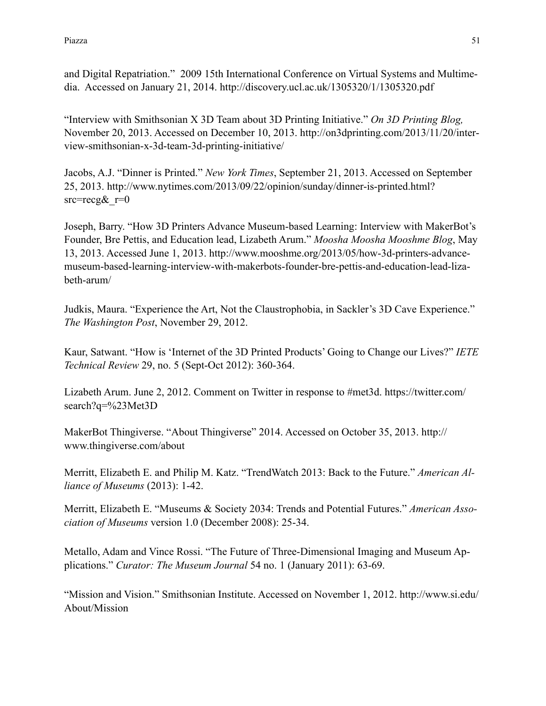and Digital Repatriation." 2009 15th International Conference on Virtual Systems and Multimedia. Accessed on January 21, 2014. <http://discovery.ucl.ac.uk/1305320/1/1305320.pdf>

"Interview with Smithsonian X 3D Team about 3D Printing Initiative." *On 3D Printing Blog,* [November 20, 2013. Accessed on December 10, 2013. http://on3dprinting.com/2013/11/20/inter](http://on3dprinting.com/2013/11/20/interview-smithsonian-x-3d-team-3d-printing-initiative/)view-smithsonian-x-3d-team-3d-printing-initiative/

Jacobs, A.J. "Dinner is Printed." *New York Times*, September 21, 2013. Accessed on September [25, 2013. http://www.nytimes.com/2013/09/22/opinion/sunday/dinner-is-printed.html?](http://www.nytimes.com/2013/09/22/opinion/sunday/dinner-is-printed.html?src=recg&_r=0)  $src = recg\& r=0$ 

Joseph, Barry. "How 3D Printers Advance Museum-based Learning: Interview with MakerBot's Founder, Bre Pettis, and Education lead, Lizabeth Arum." *Moosha Moosha Mooshme Blog*, May [13, 2013. Accessed June 1, 2013. http://www.mooshme.org/2013/05/how-3d-printers-advance](http://www.mooshme.org/2013/05/how-3d-printers-advance-museum-based-learning-interview-with-makerbots-founder-bre-pettis-and-education-lead-lizabeth-arum/)museum-based-learning-interview-with-makerbots-founder-bre-pettis-and-education-lead-lizabeth-arum/

Judkis, Maura. "Experience the Art, Not the Claustrophobia, in Sackler's 3D Cave Experience." *The Washington Post*, November 29, 2012.

Kaur, Satwant. "How is 'Internet of the 3D Printed Products' Going to Change our Lives?" *IETE Technical Review* 29, no. 5 (Sept-Oct 2012): 360-364.

[Lizabeth Arum. June 2, 2012. Comment on Twitter in response to #met3d. https://twitter.com/](https://twitter.com/search?q=%2523Met3D) search?q=%23Met3D

[MakerBot Thingiverse. "About Thingiverse" 2014. Accessed on October 35, 2013. http://](http://www.thingiverse.com/about) www.thingiverse.com/about

Merritt, Elizabeth E. and Philip M. Katz. "TrendWatch 2013: Back to the Future." *American Alliance of Museums* (2013): 1-42.

Merritt, Elizabeth E. "Museums & Society 2034: Trends and Potential Futures." *American Association of Museums* version 1.0 (December 2008): 25-34.

Metallo, Adam and Vince Rossi. "The Future of Three-Dimensional Imaging and Museum Applications." *Curator: The Museum Journal* 54 no. 1 (January 2011): 63-69.

["Mission and Vision." Smithsonian Institute. Accessed on November 1, 2012. http://www.si.edu/](http://www.si.edu/About/Mission) About/Mission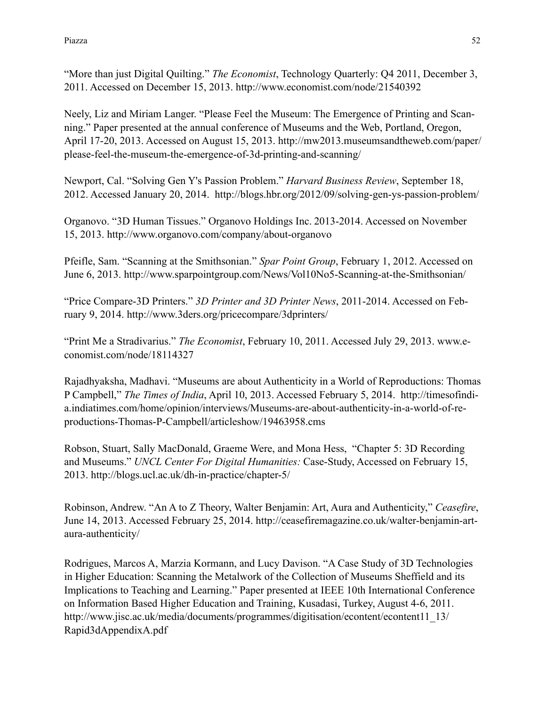"More than just Digital Quilting." *The Economist*, Technology Quarterly: Q4 2011, December 3, 2011. Accessed on December 15, 2013.<http://www.economist.com/node/21540392>

Neely, Liz and Miriam Langer. "Please Feel the Museum: The Emergence of Printing and Scanning." Paper presented at the annual conference of Museums and the Web, Portland, Oregon, [April 17-20, 2013. Accessed on August 15, 2013. http://mw2013.museumsandtheweb.com/paper/](http://mw2013.museumsandtheweb.com/paper/please-feel-the-museum-the-emergence-of-3d-printing-and-scanning/) please-feel-the-museum-the-emergence-of-3d-printing-and-scanning/

Newport, Cal. "Solving Gen Y's Passion Problem." *Harvard Business Review*, September 18, 2012. Accessed January 20, 2014. <http://blogs.hbr.org/2012/09/solving-gen-ys-passion-problem/>

Organovo. "3D Human Tissues." Organovo Holdings Inc. 2013-2014. Accessed on November 15, 2013. <http://www.organovo.com/company/about-organovo>

Pfeifle, Sam. "Scanning at the Smithsonian." *Spar Point Group*, February 1, 2012. Accessed on June 6, 2013. <http://www.sparpointgroup.com/News/Vol10No5-Scanning-at-the-Smithsonian/>

"Price Compare-3D Printers." *3D Printer and 3D Printer News*, 2011-2014. Accessed on February 9, 2014.<http://www.3ders.org/pricecompare/3dprinters/>

"Print Me a Stradivarius." *The Economist*[, February 10, 2011. Accessed July 29, 2013. www.e](http://www.economist.com/node/18114327)conomist.com/node/18114327

Rajadhyaksha, Madhavi. "Museums are about Authenticity in a World of Reproductions: Thomas P Campbell," *The Times of India*, April 10, 2013. Accessed February 5, 2014. http://timesofindi[a.indiatimes.com/home/opinion/interviews/Museums-are-about-authenticity-in-a-world-of-re](http://timesofindia.indiatimes.com/home/opinion/interviews/Museums-are-about-authenticity-in-a-world-of-reproductions-Thomas-P-Campbell/articleshow/19463958.cms)productions-Thomas-P-Campbell/articleshow/19463958.cms

Robson, Stuart, Sally MacDonald, Graeme Were, and Mona Hess, "Chapter 5: 3D Recording and Museums." *UNCL Center For Digital Humanities:* Case-Study, Accessed on February 15, 2013. <http://blogs.ucl.ac.uk/dh-in-practice/chapter-5/>

Robinson, Andrew. "An A to Z Theory, Walter Benjamin: Art, Aura and Authenticity," *Ceasefire*, [June 14, 2013. Accessed February 25, 2014. http://ceasefiremagazine.co.uk/walter-benjamin-art](http://ceasefiremagazine.co.uk/walter-benjamin-art-aura-authenticity/)aura-authenticity/

Rodrigues, Marcos A, Marzia Kormann, and Lucy Davison. "A Case Study of 3D Technologies in Higher Education: Scanning the Metalwork of the Collection of Museums Sheffield and its Implications to Teaching and Learning." Paper presented at IEEE 10th International Conference on Information Based Higher Education and Training, Kusadasi, Turkey, August 4-6, 2011. http://www.jisc.ac.uk/media/documents/programmes/digitisation/econtent/econtent11\_13/ Rapid3dAppendixA.pdf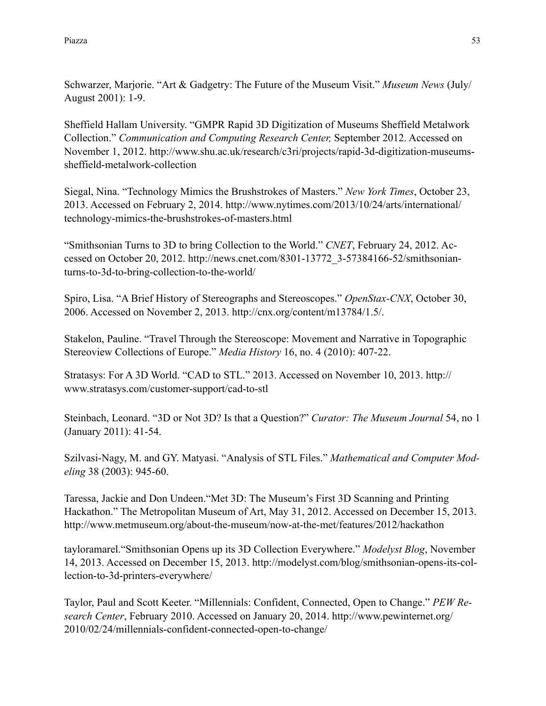Schwarzer, Marjorie. "Art & Gadgetry: The Future of the Museum Visit." *Museum News* (July/ August 2001): 1-9.

Sheffield Hallam University. "GMPR Rapid 3D Digitization of Museums Sheffield Metalwork Collection." *Communication and Computing Research Center,* September 2012. Accessed on [November 1, 2012. http://www.shu.ac.uk/research/c3ri/projects/rapid-3d-digitization-museums](http://www.shu.ac.uk/research/c3ri/projects/rapid-3d-digitization-museums-sheffield-metalwork-collection)sheffield-metalwork-collection

Siegal, Nina. "Technology Mimics the Brushstrokes of Masters." *New York Times*, October 23, [2013. Accessed on February 2, 2014. http://www.nytimes.com/2013/10/24/arts/international/](http://www.nytimes.com/2013/10/24/arts/international/technology-mimics-the-brushstrokes-of-masters.html) technology-mimics-the-brushstrokes-of-masters.html

"Smithsonian Turns to 3D to bring Collection to the World." *CNET*, February 24, 2012. Ac[cessed on October 20, 2012. http://news.cnet.com/8301-13772\\_3-57384166-52/smithsonian](http://news.cnet.com/8301-13772_3-57384166-52/smithsonian-turns-to-3d-to-bring-collection-to-the-world/)turns-to-3d-to-bring-collection-to-the-world/

Spiro, Lisa. "A Brief History of Stereographs and Stereoscopes." *OpenStax-CNX*, October 30, 2006. Accessed on November 2, 2013. http://cnx.org/content/m13784/1.5/.

Stakelon, Pauline. "Travel Through the Stereoscope: Movement and Narrative in Topographic Stereoview Collections of Europe." *Media History* 16, no. 4 (2010): 407-22.

[Stratasys: For A 3D World. "CAD to STL." 2013. Accessed on November 10, 2013. http://](http://www.stratasys.com/customer-support/cad-to-stl) www.stratasys.com/customer-support/cad-to-stl

Steinbach, Leonard. "3D or Not 3D? Is that a Question?" *Curator: The Museum Journal* 54, no 1 (January 2011): 41-54.

Szilvasi-Nagy, M. and GY. Matyasi. "Analysis of STL Files." *Mathematical and Computer Modeling* 38 (2003): 945-60.

Taressa, Jackie and Don Undeen."Met 3D: The Museum's First 3D Scanning and Printing Hackathon." The Metropolitan Museum of Art, May 31, 2012. Accessed on December 15, 2013. <http://www.metmuseum.org/about-the-museum/now-at-the-met/features/2012/hackathon>

[tayloramarel.](http://modelyst.com/blog/author/tayloramarel/)"Smithsonian Opens up its 3D Collection Everywhere." *Modelyst Blog*, November [14, 2013. Accessed on December 15, 2013. http://modelyst.com/blog/smithsonian-opens-its-col](http://modelyst.com/blog/smithsonian-opens-its-collection-to-3d-printers-everywhere/)lection-to-3d-printers-everywhere/

Taylor, Paul and Scott Keeter. "Millennials: Confident, Connected, Open to Change." *PEW Research Center*[, February 2010. Accessed on January 20, 2014. http://www.pewinternet.org/](http://www.pewinternet.org/2010/02/24/millennials-confident-connected-open-to-change/) 2010/02/24/millennials-confident-connected-open-to-change/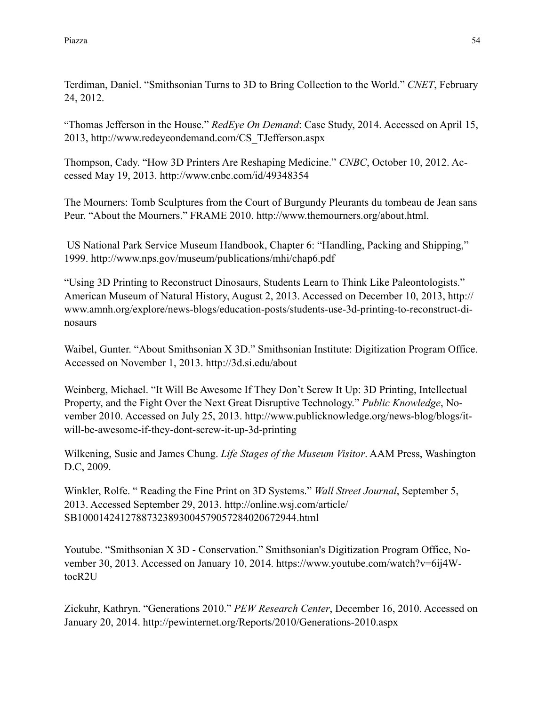Terdiman, Daniel. "Smithsonian Turns to 3D to Bring Collection to the World." *CNET*, February 24, 2012.

"Thomas Jefferson in the House." *RedEye On Demand*: Case Study, 2014. Accessed on April 15, 2013, [http://www.redeyeondemand.com/CS\\_TJefferson.aspx](http://www.redeyeondemand.com/CS_TJefferson.aspx)

Thompson, Cady. "How 3D Printers Are Reshaping Medicine." *CNBC*, October 10, 2012. Accessed May 19, 2013.<http://www.cnbc.com/id/49348354>

The Mourners: Tomb Sculptures from the Court of Burgundy Pleurants du tombeau de Jean sans Peur. "About the Mourners." FRAME 2010. <http://www.themourners.org/about.html>.

 US National Park Service Museum Handbook, Chapter 6: "Handling, Packing and Shipping," 1999. http://www.nps.gov/museum/publications/mhi/chap6.pdf

"Using 3D Printing to Reconstruct Dinosaurs, Students Learn to Think Like Paleontologists." [American Museum of Natural History, August 2, 2013. Accessed on December 10, 2013, http://](http://www.amnh.org/explore/news-blogs/education-posts/students-use-3d-printing-to-reconstruct-dinosaurs) www.amnh.org/explore/news-blogs/education-posts/students-use-3d-printing-to-reconstruct-dinosaurs

Waibel, Gunter. "About Smithsonian X 3D." Smithsonian Institute: Digitization Program Office. Accessed on November 1, 2013. <http://3d.si.edu/about>

Weinberg, Michael. "It Will Be Awesome If They Don't Screw It Up: 3D Printing, Intellectual Property, and the Fight Over the Next Great Disruptive Technology." *Public Knowledge*, No[vember 2010. Accessed on July 25, 2013. http://www.publicknowledge.org/news-blog/blogs/it](http://www.publicknowledge.org/news-blog/blogs/it-will-be-awesome-if-they-dont-screw-it-up-3d-printing)will-be-awesome-if-they-dont-screw-it-up-3d-printing

Wilkening, Susie and James Chung. *Life Stages of the Museum Visitor*. AAM Press, Washington D.C, 2009.

Winkler, Rolfe. " Reading the Fine Print on 3D Systems." *Wall Street Journal*, September 5, [2013. Accessed September 29, 2013. http://online.wsj.com/article/](http://online.wsj.com/article/SB10001424127887323893004579057284020672944.html) SB10001424127887323893004579057284020672944.html

Youtube. "Smithsonian X 3D - Conservation." [Smithsonian's Digitization Program Office](https://www.youtube.com/user/SmithsonianDPO), No[vember 30, 2013. Accessed on January 10, 2014. https://www.youtube.com/watch?v=6ij4W](https://www.youtube.com/watch?v=6ij4WtocR2U)tocR2U

Zickuhr, Kathryn. "Generations 2010." *PEW Research Center*, December 16, 2010. Accessed on January 20, 2014.<http://pewinternet.org/Reports/2010/Generations-2010.aspx>